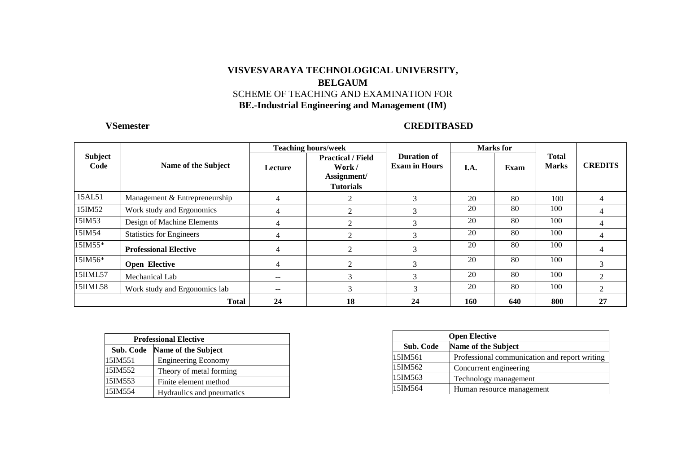### **VISVESVARAYA TECHNOLOGICAL UNIVERSITY, BELGAUM**  SCHEME OF TEACHING AND EXAMINATION FOR **BE.-Industrial Engineering and Management (IM)**

### **VSemester CREDITBASED**

|                 |                                 |                | <b>Teaching hours/week</b>                                            |                                            |            | <b>Marks</b> for |                              |                                |
|-----------------|---------------------------------|----------------|-----------------------------------------------------------------------|--------------------------------------------|------------|------------------|------------------------------|--------------------------------|
| Subject<br>Code | Name of the Subject             | <b>Lecture</b> | <b>Practical / Field</b><br>Work /<br>Assignment/<br><b>Tutorials</b> | <b>Duration of</b><br><b>Exam in Hours</b> | I.A.       | Exam             | <b>Total</b><br><b>Marks</b> | <b>CREDITS</b>                 |
| 15AL51          | Management & Entrepreneurship   | 4              | 2                                                                     | 3                                          | 20         | 80               | 100                          | 4                              |
| 15IM52          | Work study and Ergonomics       | 4              | $\mathfrak{D}$                                                        | 3                                          | 20         | 80               | 100                          | 4                              |
| 15IM53          | Design of Machine Elements      | 4              | っ                                                                     | 3                                          | 20         | 80               | 100                          | 4                              |
| 15IM54          | <b>Statistics for Engineers</b> | 4              | $\mathfrak{D}$                                                        | 3                                          | 20         | 80               | 100                          | 4                              |
| 15IM55*         | <b>Professional Elective</b>    | 4              | 2                                                                     | 3                                          | 20         | 80               | 100                          | 4                              |
| $15IM56*$       | <b>Open Elective</b>            | 4              | ◠                                                                     | 3                                          | 20         | 80               | 100                          | 3                              |
| 15IIML57        | Mechanical Lab                  | $- -$          | $\sim$                                                                | 3                                          | 20         | 80               | 100                          | <sup><math>\gamma</math></sup> |
| 15IIML58        | Work study and Ergonomics lab   | $- -$          | $\sim$<br>$\Delta$                                                    | 3                                          | 20         | 80               | 100                          | $\overline{2}$                 |
|                 | <b>Total</b>                    | 24             | 18                                                                    | 24                                         | <b>160</b> | 640              | 800                          | 27                             |

| <b>Professional Elective</b>     |                            |  |  |  |  |
|----------------------------------|----------------------------|--|--|--|--|
| Name of the Subject<br>Sub. Code |                            |  |  |  |  |
| 15IM551                          | <b>Engineering Economy</b> |  |  |  |  |
| 15IM552                          | Theory of metal forming    |  |  |  |  |
| 15IM553<br>Finite element method |                            |  |  |  |  |
| 15IM554                          | Hydraulics and pneumatics  |  |  |  |  |

| <b>Open Elective</b> |                                               |  |  |  |
|----------------------|-----------------------------------------------|--|--|--|
| Sub. Code            | Name of the Subject                           |  |  |  |
| 15IM561              | Professional communication and report writing |  |  |  |
| 15IM562              | Concurrent engineering                        |  |  |  |
| 15IM563              | Technology management                         |  |  |  |
| 15IM564              | Human resource management                     |  |  |  |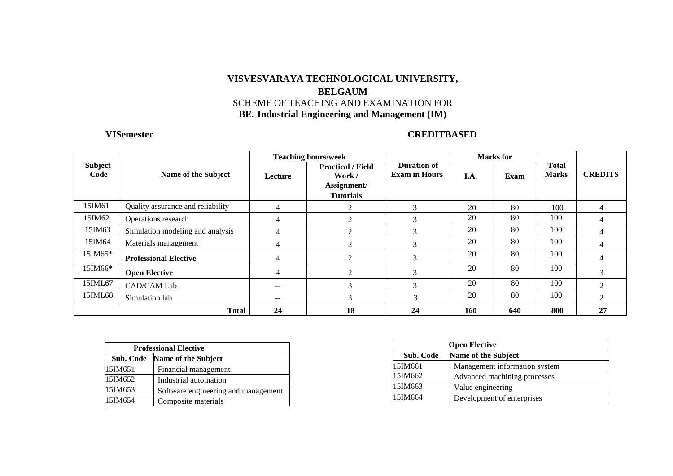### **VISVESVARAYA TECHNOLOGICAL UNIVERSITY, BELGAUM**  SCHEME OF TEACHING AND EXAMINATION FOR **BE.-Industrial Engineering and Management (IM)**

### **VISemester CREDITBASED**

|                 |                                   |         | <b>Teaching hours/week</b>                                                                                   |    |      | <b>Marks</b> for |                              |                |
|-----------------|-----------------------------------|---------|--------------------------------------------------------------------------------------------------------------|----|------|------------------|------------------------------|----------------|
| Subject<br>Code | Name of the Subject               | Lecture | Duration of<br><b>Practical / Field</b><br><b>Exam in Hours</b><br>Work /<br>Assignment/<br><b>Tutorials</b> |    | I.A. | Exam             | <b>Total</b><br><b>Marks</b> | <b>CREDITS</b> |
| 15IM61          | Quality assurance and reliability | 4       |                                                                                                              | 3  | 20   | 80               | 100                          | 4              |
| 15IM62          | Operations research               | 4       |                                                                                                              | 3  | 20   | 80               | 100                          | $\overline{4}$ |
| 15IM63          | Simulation modeling and analysis  | 4       |                                                                                                              | 3  | 20   | 80               | 100                          | 4              |
| 15IM64          | Materials management              | 4       |                                                                                                              | 3  | 20   | 80               | 100                          | 4              |
| 15IM65*         | <b>Professional Elective</b>      | 4       | 2                                                                                                            | 3  | 20   | 80               | 100                          | 4              |
| 15IM66*         | <b>Open Elective</b>              | 4       |                                                                                                              | 3  | 20   | 80               | 100                          | 3              |
| 15IML67         | <b>CAD/CAM Lab</b>                | $- -$   |                                                                                                              | 3  | 20   | 80               | 100                          | $\overline{2}$ |
| 15IML68         | Simulation lab                    | $- -$   |                                                                                                              | 3  | 20   | 80               | 100                          | 2              |
|                 | <b>Total</b>                      | 24      | 18                                                                                                           | 24 | 160  | 640              | 800                          | 27             |

| <b>Professional Elective</b>     |                                     |  |  |  |  |
|----------------------------------|-------------------------------------|--|--|--|--|
| Name of the Subject<br>Sub. Code |                                     |  |  |  |  |
| 15IM651                          | Financial management                |  |  |  |  |
| 15IM652                          | Industrial automation               |  |  |  |  |
| 15IM653                          | Software engineering and management |  |  |  |  |
| 15IM654                          | Composite materials                 |  |  |  |  |

| <b>Open Elective</b> |                               |  |  |  |
|----------------------|-------------------------------|--|--|--|
| Sub. Code            | Name of the Subject           |  |  |  |
| 15IM661              | Management information system |  |  |  |
| 15IM662              | Advanced machining processes  |  |  |  |
| 15IM663              | Value engineering             |  |  |  |
| 15IM664              | Development of enterprises    |  |  |  |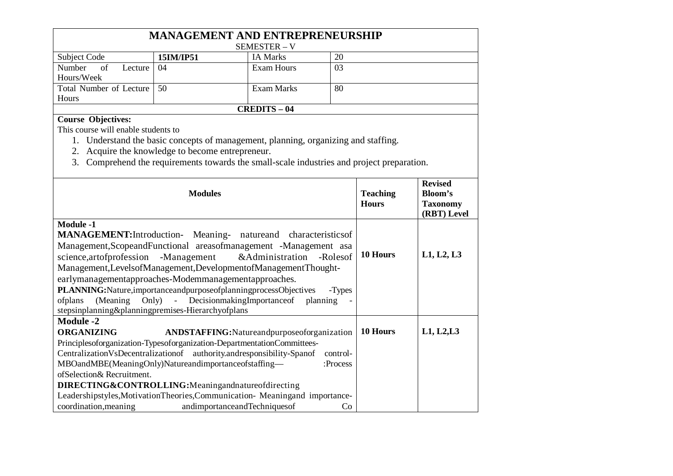| <b>MANAGEMENT AND ENTREPRENEURSHIP</b> |                                    |                     |    |  |  |  |  |  |
|----------------------------------------|------------------------------------|---------------------|----|--|--|--|--|--|
|                                        |                                    | <b>SEMESTER – V</b> |    |  |  |  |  |  |
| Subject Code                           | 20<br><b>IA Marks</b><br>15IM/IP51 |                     |    |  |  |  |  |  |
| Number of<br>Lecture                   | 04                                 | Exam Hours          | 03 |  |  |  |  |  |
| Hours/Week                             |                                    |                     |    |  |  |  |  |  |
| Total Number of Lecture   50           |                                    | Exam Marks          | 80 |  |  |  |  |  |
| Hours                                  |                                    |                     |    |  |  |  |  |  |
| <b>CREDITS - 04</b>                    |                                    |                     |    |  |  |  |  |  |

### **Course Objectives:**

This course will enable students to

- 1. Understand the basic concepts of management, planning, organizing and staffing.
- 2. Acquire the knowledge to become entrepreneur.
- 3. Comprehend the requirements towards the small-scale industries and project preparation.

| <b>Modules</b>                                                                                                                                                                                                                                                                                                                                                                                                                                                                                                                                                                         | <b>Teaching</b><br><b>Hours</b> | <b>Revised</b><br>Bloom's<br><b>Taxonomy</b><br>(RBT) Level |
|----------------------------------------------------------------------------------------------------------------------------------------------------------------------------------------------------------------------------------------------------------------------------------------------------------------------------------------------------------------------------------------------------------------------------------------------------------------------------------------------------------------------------------------------------------------------------------------|---------------------------------|-------------------------------------------------------------|
| <b>Module -1</b><br><b>MANAGEMENT:</b> Introduction- Meaning- natureand characteristics of<br>Management, Scopeand Functional areasof management - Management asa<br>science, artof profession - Management & Administration - Roles of<br>Management, Levelsof Management, Development of Management Thought-<br>earlymanagementapproaches-Modemmanagementapproaches.<br>PLANNING: Nature, importance and purpose of planning process Objectives<br>-Types<br>(Meaning Only) - Decision making Importance of planning<br>ofplans<br>stepsinplanning&planningpremises-Hierarchyofplans | 10 Hours                        | L1, L2, L3                                                  |
| <b>Module -2</b><br><b>ORGANIZING</b><br>ANDSTAFFING: Natureand purpose of organization<br>Principlesoforganization-Typesoforganization-DepartmentationCommittees-<br>Centralization VsDecentralization of authority and responsibility-Span of<br>control-<br>MBOandMBE(MeaningOnly)Natureandimportanceofstaffing-<br>:Process<br>ofSelection& Recruitment.<br>DIRECTING&CONTROLLING:Meaningandnatureofdirecting<br>Leadershipstyles, MotivationTheories, Communication-Meaningand importance-<br>coordination, meaning<br>andimportanceandTechniquesof<br>Co                         | 10 Hours                        | L1, L2, L3                                                  |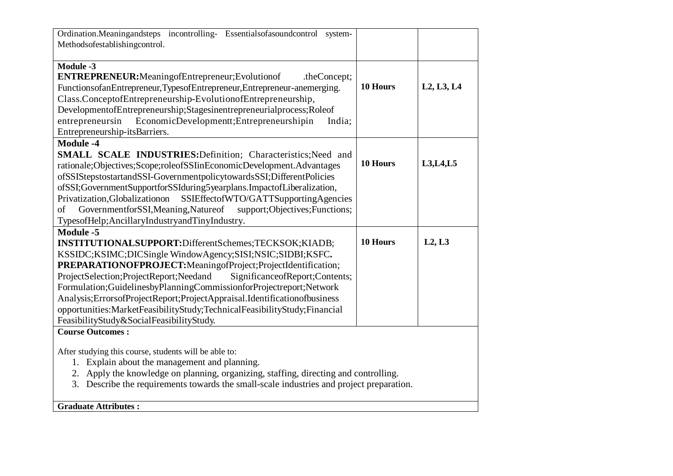| Ordination.Meaningandsteps incontrolling- Essentialsofasoundcontrol system-<br>Methodsofestablishingcontrol.                                                                                                                                                                                                                                                                                                                                                                                                                                                  |          |                                                  |
|---------------------------------------------------------------------------------------------------------------------------------------------------------------------------------------------------------------------------------------------------------------------------------------------------------------------------------------------------------------------------------------------------------------------------------------------------------------------------------------------------------------------------------------------------------------|----------|--------------------------------------------------|
| <b>Module -3</b><br>ENTREPRENEUR: Meaning of Entrepreneur; Evolution of<br>.theConcept;<br>FunctionsofanEntrepreneur,TypesofEntrepreneur,Entrepreneur-anemerging.<br>Class.ConceptofEntrepreneurship-EvolutionofEntrepreneurship,<br>DevelopmentofEntrepreneurship;Stagesinentrepreneurialprocess;Roleof                                                                                                                                                                                                                                                      | 10 Hours | L <sub>2</sub> , L <sub>3</sub> , L <sub>4</sub> |
| entrepreneursin EconomicDevelopmentt; Entrepreneurshipin<br>India;<br>Entrepreneurship-itsBarriers.                                                                                                                                                                                                                                                                                                                                                                                                                                                           |          |                                                  |
| <b>Module -4</b><br>SMALL SCALE INDUSTRIES: Definition; Characteristics; Need and<br>rationale;Objectives;Scope;roleofSSIinEconomicDevelopment.Advantages<br>ofSSIStepstostartandSSI-GovernmentpolicytowardsSSI;DifferentPolicies                                                                                                                                                                                                                                                                                                                             | 10 Hours | L3, L4, L5                                       |
| ofSSI;GovernmentSupportforSSIduring5yearplans.ImpactofLiberalization,<br>SSIEffectofWTO/GATTSupportingAgencies<br>Privatization, Globalizationon<br>GovernmentforSSI, Meaning, Natureof support; Objectives; Functions;<br>of<br>TypesofHelp; AncillaryIndustryandTinyIndustry.                                                                                                                                                                                                                                                                               |          |                                                  |
| <b>Module -5</b><br>INSTITUTIONALSUPPORT:DifferentSchemes;TECKSOK;KIADB;<br>KSSIDC;KSIMC;DICSingle WindowAgency;SISI;NSIC;SIDBI;KSFC.<br>PREPARATIONOFPROJECT:MeaningofProject;ProjectIdentification;<br>ProjectSelection;ProjectReport;Needand<br>SignificanceofReport;Contents;<br>Formulation;GuidelinesbyPlanningCommissionforProjectreport;Network<br>Analysis; ErrorsofProjectReport; ProjectAppraisal.Identificationofbusiness<br>opportunities:MarketFeasibilityStudy;TechnicalFeasibilityStudy;Financial<br>FeasibilityStudy&SocialFeasibilityStudy. | 10 Hours | L2, L3                                           |
| <b>Course Outcomes:</b><br>After studying this course, students will be able to:<br>1. Explain about the management and planning.<br>2. Apply the knowledge on planning, organizing, staffing, directing and controlling.<br>Describe the requirements towards the small-scale industries and project preparation.<br>3.                                                                                                                                                                                                                                      |          |                                                  |

**Graduate Attributes :**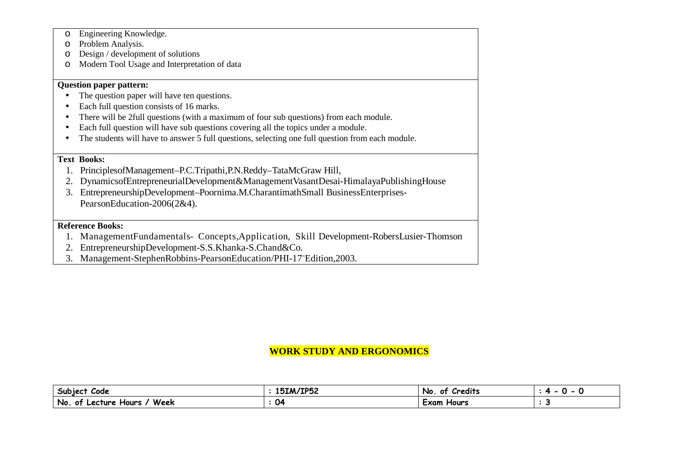- oEngineering Knowledge.
- oProblem Analysis.
- $\circ$  Design / development of solutions
- oModern Tool Usage and Interpretation of data

#### **Question paper pattern:**

- The question paper will have ten questions. •
- •Each full question consists of 16 marks.
- •There will be 2full questions (with a maximum of four sub questions) from each module.
- •Each full question will have sub questions covering all the topics under a module.
- $\bullet$ The students will have to answer 5 full questions, selecting one full question from each module.

#### **Text Books:**

- 1. PrinciplesofManagement–P.C.Tripathi,P.N.Reddy–TataMcGraw Hill,
- 2. DynamicsofEntrepreneurialDevelopment&ManagementVasantDesai-HimalayaPublishingHouse
- 3. EntrepreneurshipDevelopment–Poornima.M.CharantimathSmall BusinessEnterprises-PearsonEducation-2006(2&4).

#### **Reference Books:**

- 1. ManagementFundamentals- Concepts,Application, Skill Development-RobersLusier-Thomson
- 2. EntrepreneurshipDevelopment-S.S.Khanka-S.Chand&Co.
- 3. Management-StephenRobbins-PearsonEducation/PHI-17 Edition,2003.

### **WORK STUDY AND ERGONOMICS**

| <b>Subject</b><br>Code                              | 15IM/IP52 | . .<br>Credits<br>0Ť<br>No | . . |
|-----------------------------------------------------|-----------|----------------------------|-----|
| Week<br><b>No</b><br>Lecture<br>-ot<br><b>Hours</b> | 04        | <b>Hours</b><br>Exam       |     |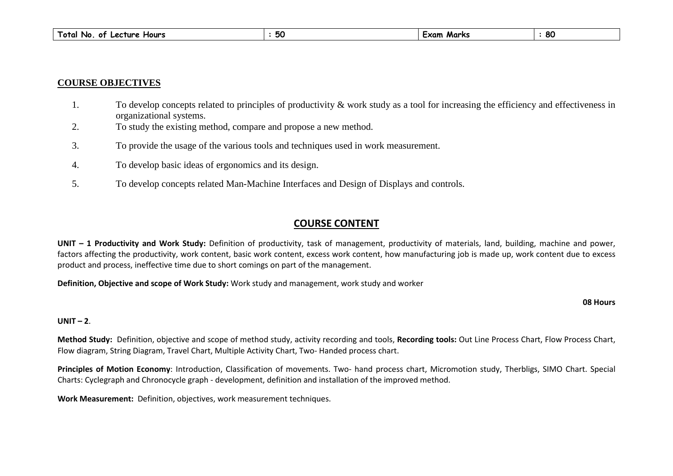| $\overline{\phantom{a}}$<br>Total<br>Hours<br>Lecture<br>No<br>0Ť | :JU | Marks<br>:xam | 8C |
|-------------------------------------------------------------------|-----|---------------|----|
|-------------------------------------------------------------------|-----|---------------|----|

#### **COURSE OBJECTIVES**

- 1.To develop concepts related to principles of productivity & work study as a tool for increasing the efficiency and effectiveness in organizational systems.
- To study the existing method, compare and propose a new method. 2.
- 3.To provide the usage of the various tools and techniques used in work measurement.
- 4. To develop basic ideas of ergonomics and its design.
- 5.To develop concepts related Man-Machine Interfaces and Design of Displays and controls.

### **COURSE CONTENT**

**UNIT – 1 Productivity and Work Study:** Definition of productivity, task of management, productivity of materials, land, building, machine and power, factors affecting the productivity, work content, basic work content, excess work content, how manufacturing job is made up, work content due to excess product and process, ineffective time due to short comings on part of the management.

**Definition, Objective and scope of Work Study:** Work study and management, work study and worker

**08 Hours**

#### **UNIT –2**.

**Method Study:** Definition, objective and scope of method study, activity recording and tools, **Recording tools:** Out Line Process Chart, Flow Process Chart, Flow diagram, String Diagram, Travel Chart, Multiple Activity Chart, Two- Handed process chart.

**Principles of Motion Economy**: Introduction, Classification of movements. Two- hand process chart, Micromotion study, Therbligs, SIMO Chart. Special Charts: Cyclegraph and Chronocycle graph - development, definition and installation of the improved method.

**Work Measurement:** Definition, objectives, work measurement techniques.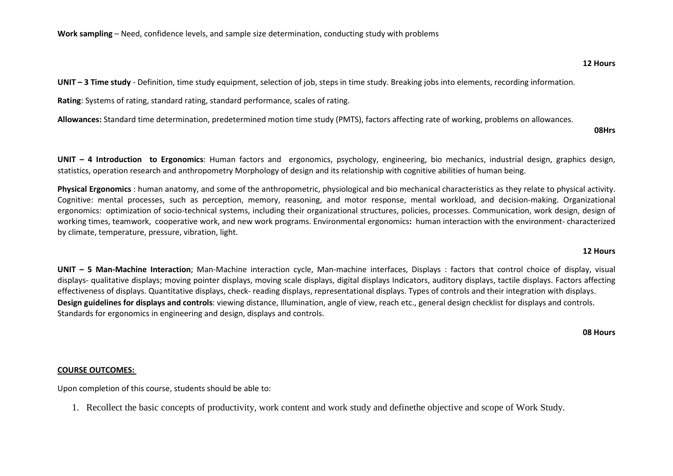**UNIT – 3 Time study** - Definition, time study equipment, selection of job, steps in time study. Breaking jobs into elements, recording information.

**Rating**: Systems of rating, standard rating, standard performance, scales of rating.

**Allowances:** Standard time determination, predetermined motion time study (PMTS), factors affecting rate of working, problems on allowances.

**UNIT – <sup>4</sup> Introduction to Ergonomics**: Human factors and ergonomics, psychology, engineering, bio mechanics, industrial design, graphics design, statistics, operation research and anthropometry Morphology of design and its relationship with cognitive abilities of human being.

**Physical Ergonomics** : human anatomy, and some of the anthropometric, physiological and bio mechanical characteristics as they relate to physical activity. Cognitive: mental processes, such as perception, memory, reasoning, and motor response, mental workload, and decision-making. Organizational ergonomics: optimization of socio-technical systems, including their organizational structures, policies, processes. Communication, work design, design of working times, teamwork, cooperative work, and new work programs. Environmental ergonomics**:** human interaction with the environment- characterized by climate, temperature, pressure, vibration, light.

#### **12 Hours**

**UNIT – <sup>5</sup> Man-Machine Interaction**; Man-Machine interaction cycle, Man-machine interfaces, Displays : factors that control choice of display, visual displays- qualitative displays; moving pointer displays, moving scale displays, digital displays Indicators, auditory displays, tactile displays. Factors affecting effectiveness of displays. Quantitative displays, check- reading displays, representational displays. Types of controls and their integration with displays. **Design guidelines for displays and controls**: viewing distance, Illumination, angle of view, reach etc., general design checklist for displays and controls. Standards for ergonomics in engineering and design, displays and controls.

**08 Hours**

#### **COURSE OUTCOMES:**

Upon completion of this course, students should be able to:

1. Recollect the basic concepts of productivity, work content and work study and definethe objective and scope of Work Study.

**08Hrs**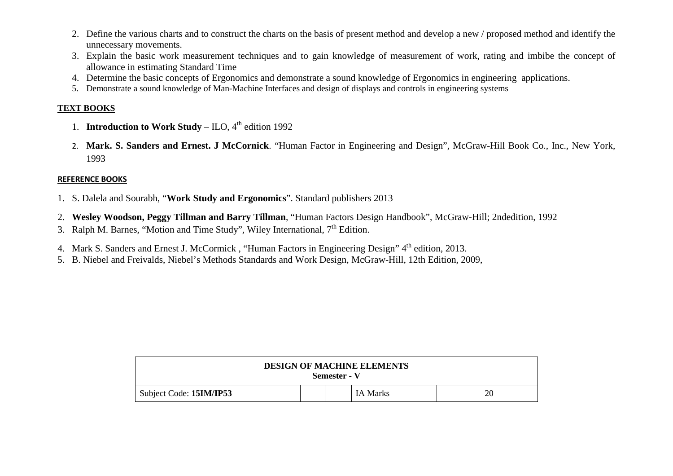- 2. Define the various charts and to construct the charts on the basis of present method and develop a new / proposed method and identify the unnecessary movements.
- 3. Explain the basic work measurement techniques and to gain knowledge of measurement of work, rating and imbibe the concept of allowance in estimating Standard Time
- 4. Determine the basic concepts of Ergonomics and demonstrate a sound knowledge of Ergonomics in engineering applications.
- 5. Demonstrate a sound knowledge of Man-Machine Interfaces and design of displays and controls in engineering systems

#### **TEXT BOOKS**

- 1. **Introduction to Work Study** ILO, 4<sup>th</sup> edition 1992
- 2. **Mark. S. Sanders and Ernest. J McCornick**. "Human Factor in Engineering and Design", McGraw-Hill Book Co., Inc., New York, 1993

#### **REFERENCE BOOKS**

- 1. S. Dalela and Sourabh, "**Work Study and Ergonomics**". Standard publishers 2013
- 2. **Wesley Woodson, Peggy Tillman and Barry Tillman**, "Human Factors Design Handbook", McGraw-Hill; 2ndedition, 1992
- 3. Ralph M. Barnes, "Motion and Time Study", Wiley International,  $7<sup>th</sup>$  Edition.
- 4. Mark S. Sanders and Ernest J. McCormick, "Human Factors in Engineering Design" 4<sup>th</sup> edition, 2013.
- 5. B. Niebel and Freivalds, Niebel's Methods Standards and Work Design, McGraw-Hill, 12th Edition, 2009,

| <b>DESIGN OF MACHINE ELEMENTS</b><br>Semester - V |  |  |          |    |
|---------------------------------------------------|--|--|----------|----|
| Subject Code: 15IM/IP53                           |  |  | IA Marks | 20 |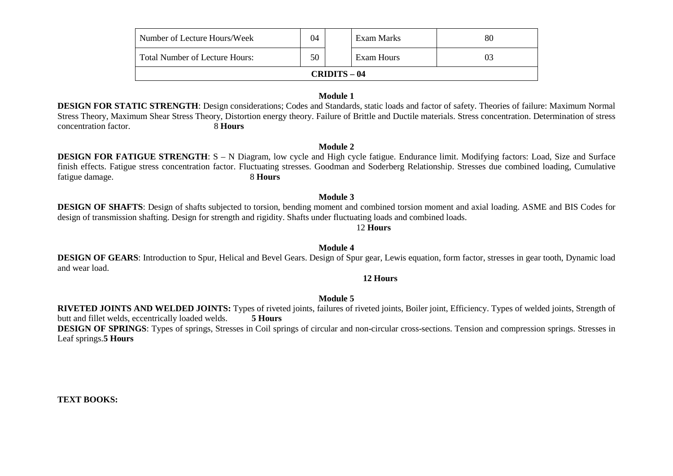| Number of Lecture Hours/Week   | 04 |  | Exam Marks | 80 |  |
|--------------------------------|----|--|------------|----|--|
| Total Number of Lecture Hours: | 50 |  | Exam Hours | 03 |  |
| $CRIDITS - 04$                 |    |  |            |    |  |

#### **Module 1**

 **DESIGN FOR STATIC STRENGTH**: Design considerations; Codes and Standards, static loads and factor of safety. Theories of failure: Maximum Normal Stress Theory, Maximum Shear Stress Theory, Distortion energy theory. Failure of Brittle and Ductile materials. Stress concentration. Determination of stress concentration factor. 8 **Hours** 

#### **Module 2**

 **DESIGN FOR FATIGUE STRENGTH**: S – N Diagram, low cycle and High cycle fatigue. Endurance limit. Modifying factors: Load, Size and Surface finish effects. Fatigue stress concentration factor. Fluctuating stresses. Goodman and Soderberg Relationship. Stresses due combined loading, Cumulative fatigue damage. 8 **Hours** 

#### **Module 3**

 **DESIGN OF SHAFTS**: Design of shafts subjected to torsion, bending moment and combined torsion moment and axial loading. ASME and BIS Codes for design of transmission shafting. Design for strength and rigidity. Shafts under fluctuating loads and combined loads.

#### 12 **Hours**

#### **Module 4**

 **DESIGN OF GEARS**: Introduction to Spur, Helical and Bevel Gears. Design of Spur gear, Lewis equation, form factor, stresses in gear tooth, Dynamic load and wear load.

#### **12 Hours**

#### **Module 5**

 **RIVETED JOINTS AND WELDED JOINTS:** Types of riveted joints, failures of riveted joints, Boiler joint, Efficiency. Types of welded joints, Strength of butt and fillet welds, eccentrically loaded welds. **5 Hours DESIGN OF SPRINGS**: Types of springs, Stresses in Coil springs of circular and non-circular cross-sections. Tension and compression springs. Stresses in Leaf springs.**5 Hours**

#### **TEXT BOOKS:**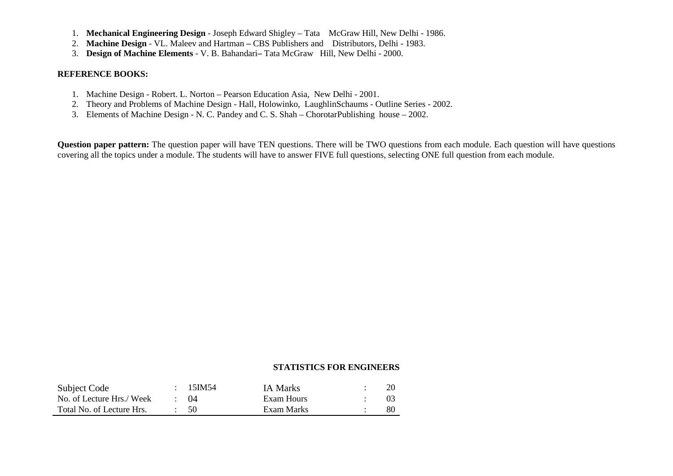- 1. **Mechanical Engineering Design**  Joseph Edward Shigley Tata McGraw Hill, New Delhi 1986.
- 2. **Machine Design**  VL. Maleev and Hartman CBS Publishers and Distributors, Delhi 1983.
- 3. **Design of Machine Elements**  V. B. BahandariTata McGraw Hill, New Delhi 2000.

#### **REFERENCE BOOKS:**

- 1. Machine Design Robert. L. Norton Pearson Education Asia, New Delhi 2001.
- 2. Theory and Problems of Machine Design Hall, Holowinko, LaughlinSchaums Outline Series 2002.
- 3. Elements of Machine Design N. C. Pandey and C. S. Shah ChorotarPublishing house 2002.

**Question paper pattern:** The question paper will have TEN questions. There will be TWO questions from each module. Each question will have questions covering all the topics under a module. The students will have to answer FIVE full questions, selecting ONE full question from each module.

#### **STATISTICS FOR ENGINEERS**

| Subject Code              | 15IM54      | <b>IA Marks</b> |    |
|---------------------------|-------------|-----------------|----|
| No. of Lecture Hrs./ Week | $\cdot$ ()4 | Exam Hours      |    |
| Total No. of Lecture Hrs. | - 50        | Exam Marks      | 80 |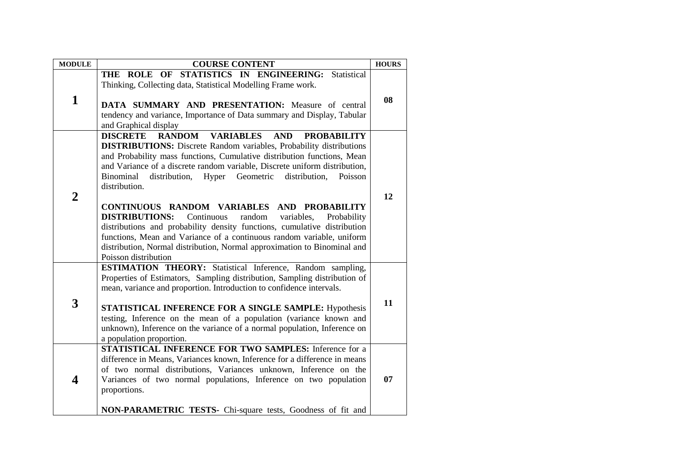| <b>MODULE</b>  | <b>COURSE CONTENT</b>                                                                                                                                                                                                                                                                                                                                                                                                                                                                                                                                                                                                                                                                                                                                                                                               | <b>HOURS</b> |
|----------------|---------------------------------------------------------------------------------------------------------------------------------------------------------------------------------------------------------------------------------------------------------------------------------------------------------------------------------------------------------------------------------------------------------------------------------------------------------------------------------------------------------------------------------------------------------------------------------------------------------------------------------------------------------------------------------------------------------------------------------------------------------------------------------------------------------------------|--------------|
| $\mathbf{1}$   | THE ROLE OF STATISTICS IN ENGINEERING: Statistical<br>Thinking, Collecting data, Statistical Modelling Frame work.<br>DATA SUMMARY AND PRESENTATION: Measure of central<br>tendency and variance, Importance of Data summary and Display, Tabular<br>and Graphical display                                                                                                                                                                                                                                                                                                                                                                                                                                                                                                                                          | 08           |
| $\overline{2}$ | <b>DISCRETE</b><br><b>RANDOM</b><br><b>VARIABLES</b><br><b>AND</b><br><b>PROBABILITY</b><br><b>DISTRIBUTIONS:</b> Discrete Random variables, Probability distributions<br>and Probability mass functions, Cumulative distribution functions, Mean<br>and Variance of a discrete random variable, Discrete uniform distribution,<br>Hyper Geometric<br>Binominal<br>distribution,<br>distribution,<br>Poisson<br>distribution.<br>CONTINUOUS RANDOM VARIABLES AND PROBABILITY<br><b>DISTRIBUTIONS:</b><br>Continuous<br>random<br>variables,<br>Probability<br>distributions and probability density functions, cumulative distribution<br>functions, Mean and Variance of a continuous random variable, uniform<br>distribution, Normal distribution, Normal approximation to Binominal and<br>Poisson distribution | 12           |
| 3              | ESTIMATION THEORY: Statistical Inference, Random sampling,<br>Properties of Estimators, Sampling distribution, Sampling distribution of<br>mean, variance and proportion. Introduction to confidence intervals.<br>STATISTICAL INFERENCE FOR A SINGLE SAMPLE: Hypothesis<br>testing, Inference on the mean of a population (variance known and<br>unknown), Inference on the variance of a normal population, Inference on<br>a population proportion.                                                                                                                                                                                                                                                                                                                                                              | 11           |
| 4              | STATISTICAL INFERENCE FOR TWO SAMPLES: Inference for a<br>difference in Means, Variances known, Inference for a difference in means<br>of two normal distributions, Variances unknown, Inference on the<br>Variances of two normal populations, Inference on two population<br>proportions.<br>NON-PARAMETRIC TESTS- Chi-square tests, Goodness of fit and                                                                                                                                                                                                                                                                                                                                                                                                                                                          | 07           |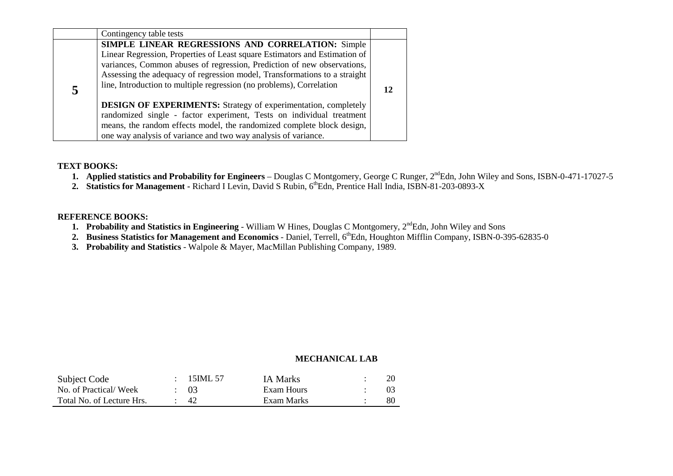|   | Contingency table tests                                                                                                                                                                                                                                                                                                                                                                                                                                                                                          |  |
|---|------------------------------------------------------------------------------------------------------------------------------------------------------------------------------------------------------------------------------------------------------------------------------------------------------------------------------------------------------------------------------------------------------------------------------------------------------------------------------------------------------------------|--|
| 5 | SIMPLE LINEAR REGRESSIONS AND CORRELATION: Simple<br>Linear Regression, Properties of Least square Estimators and Estimation of<br>variances, Common abuses of regression, Prediction of new observations,<br>Assessing the adequacy of regression model, Transformations to a straight<br>line, Introduction to multiple regression (no problems), Correlation<br><b>DESIGN OF EXPERIMENTS:</b> Strategy of experimentation, completely<br>randomized single - factor experiment, Tests on individual treatment |  |
|   | means, the random effects model, the randomized complete block design,<br>one way analysis of variance and two way analysis of variance.                                                                                                                                                                                                                                                                                                                                                                         |  |

#### **TEXT BOOKS:**

- **1.** Applied statistics and Probability for Engineers Douglas C Montgomery, George C Runger, 2<sup>nd</sup>Edn, John Wiley and Sons, ISBN-0-471-17027-5
- 2. **Statistics for Management Richard I Levin, David S Rubin, 6<sup>th</sup>Edn, Prentice Hall India, ISBN-81-203-0893-X**

#### **REFERENCE BOOKS:**

- **1. Probability and Statistics in Engineering** William W Hines, Douglas C Montgomery, 2<sup>nd</sup>Edn, John Wiley and Sons
- 2. Business Statistics for Management and Economics Daniel, Terrell, 6<sup>th</sup>Edn, Houghton Mifflin Company, ISBN-0-395-62835-0
- **3. Probability and Statistics** Walpole & Mayer, MacMillan Publishing Company, 1989.

#### **MECHANICAL LAB**

| Subject Code              | 15IML 57        | IA Marks   |    |
|---------------------------|-----------------|------------|----|
| No. of Practical/Week     | $\therefore$ 03 | Exam Hours |    |
| Total No. of Lecture Hrs. | -42             | Exam Marks | 80 |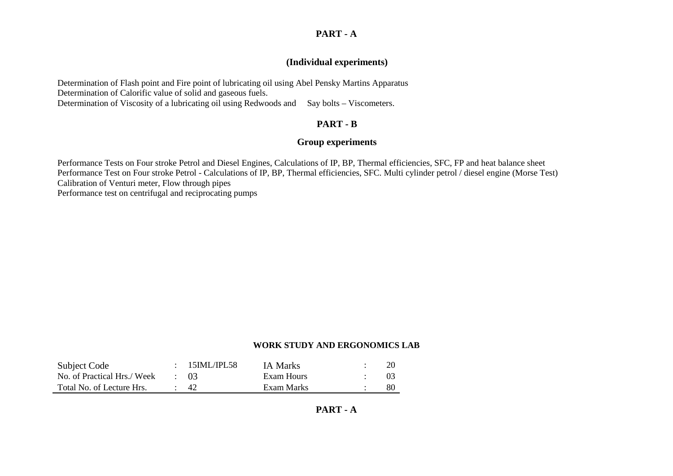#### **PART - A**

#### **(Individual experiments)**

Determination of Flash point and Fire point of lubricating oil using Abel Pensky Martins Apparatus Determination of Calorific value of solid and gaseous fuels. Determination of Viscosity of a lubricating oil using Redwoods and Say bolts - Viscometers.

### **PART - B**

#### **Group experiments**

Performance Tests on Four stroke Petrol and Diesel Engines, Calculations of IP, BP, Thermal efficiencies, SFC, FP and heat balance sheet Performance Test on Four stroke Petrol - Calculations of IP, BP, Thermal efficiencies, SFC. Multi cylinder petrol / diesel engine (Morse Test) Calibration of Venturi meter, Flow through pipes Performance test on centrifugal and reciprocating pumps

#### **WORK STUDY AND ERGONOMICS LAB**

| Subject Code                | 15IML/IPL58     | <b>IA Marks</b> |    |
|-----------------------------|-----------------|-----------------|----|
| No. of Practical Hrs./ Week | $\therefore$ 03 | Exam Hours      |    |
| Total No. of Lecture Hrs.   | - 42            | Exam Marks      | 80 |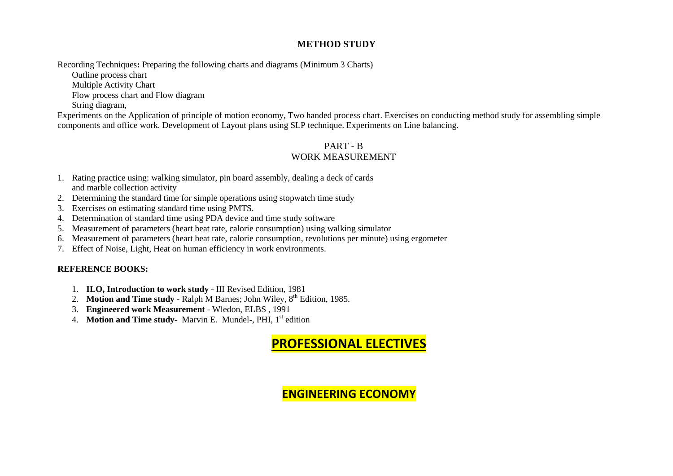#### **METHOD STUDY**

Recording Techniques**:** Preparing the following charts and diagrams (Minimum 3 Charts)

Outline process chart

Multiple Activity Chart

Flow process chart and Flow diagram

String diagram,

 Experiments on the Application of principle of motion economy, Two handed process chart. Exercises on conducting method study for assembling simple components and office work. Development of Layout plans using SLP technique. Experiments on Line balancing.

### PART - B WORK MEASUREMENT

- 1. Rating practice using: walking simulator, pin board assembly, dealing a deck of cards and marble collection activity
- 2. Determining the standard time for simple operations using stopwatch time study
- 3. Exercises on estimating standard time using PMTS.
- 4. Determination of standard time using PDA device and time study software
- 5. Measurement of parameters (heart beat rate, calorie consumption) using walking simulator
- 6. Measurement of parameters (heart beat rate, calorie consumption, revolutions per minute) using ergometer
- 7. Effect of Noise, Light, Heat on human efficiency in work environments.

#### **REFERENCE BOOKS:**

- 1. **ILO, Introduction to work study** III Revised Edition, 1981
- 2. **Motion and Time study** Ralph M Barnes; John Wiley, 8<sup>th</sup> Edition, 1985.
- 3. **Engineered work Measurement** Wledon, ELBS , 1991
- 4. **Motion and Time study** Marvin E. Mundel-, PHI, 1<sup>st</sup> edition

## **PROFESSIONAL ELECTIVES**

## **ENGINEERING ECONOMY**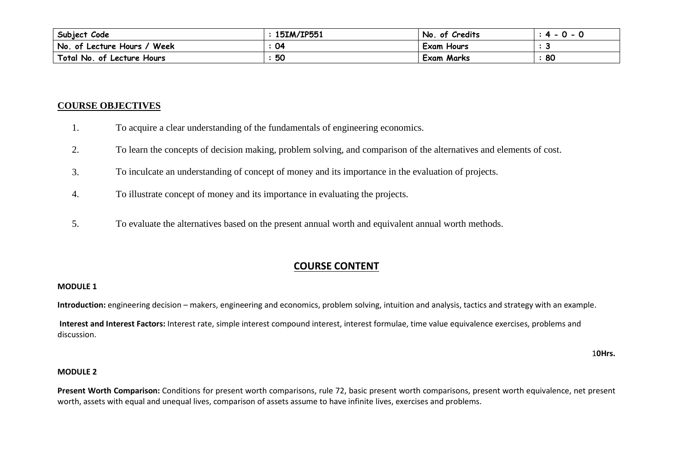| Subject Code                  | 15IM/IP551 | of Credits<br>No. | n<br>л<br>$\overline{\phantom{0}}$<br>- 11 |
|-------------------------------|------------|-------------------|--------------------------------------------|
| No. of Lecture Hours.<br>Week | 04         | Exam Hours        |                                            |
| Total No. of Lecture Hours    | 50         | <b>Exam Marks</b> | 80                                         |

#### **COURSE OBJECTIVES**

- 1.To acquire a clear understanding of the fundamentals of engineering economics.
- 2.To learn the concepts of decision making, problem solving, and comparison of the alternatives and elements of cost.
- 3.To inculcate an understanding of concept of money and its importance in the evaluation of projects.
- 4.To illustrate concept of money and its importance in evaluating the projects.
- 5.To evaluate the alternatives based on the present annual worth and equivalent annual worth methods.

### **COURSE CONTENT**

#### **MODULE 1**

**Introduction:** engineering decision – makers, engineering and economics, problem solving, intuition and analysis, tactics and strategy with an example.

 **Interest and Interest Factors:** Interest rate, simple interest compound interest, interest formulae, time value equivalence exercises, problems and discussion.

1**0Hrs.**

### **MODULE <sup>2</sup>**

**Present Worth Comparison:** Conditions for present worth comparisons, rule 72, basic present worth comparisons, present worth equivalence, net present worth, assets with equal and unequal lives, comparison of assets assume to have infinite lives, exercises and problems.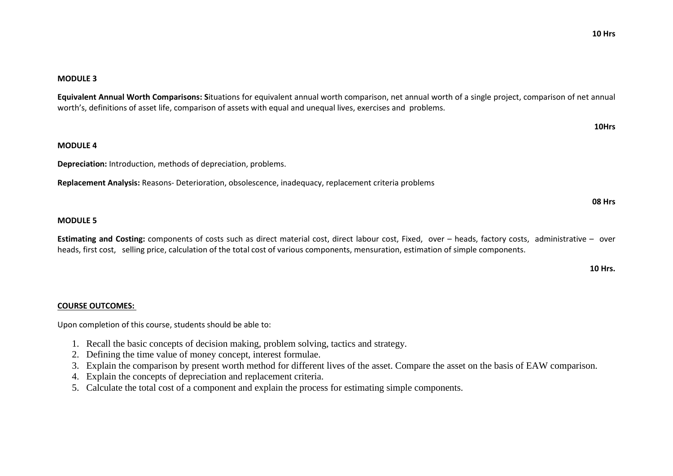### **MODULE <sup>3</sup>**

**Equivalent Annual Worth Comparisons: S**ituations for equivalent annual worth comparison, net annual worth of a single project, comparison of net annual worth's, definitions of asset life, comparison of assets with equal and unequal lives, exercises and problems.

**10Hrs**

### **MODULE <sup>4</sup>**

**Depreciation:** Introduction, methods of depreciation, problems.

**Replacement Analysis:** Reasons- Deterioration, obsolescence, inadequacy, replacement criteria problems

### **MODULE <sup>5</sup>**

**Estimating and Costing:** components of costs such as direct material cost, direct labour cost, Fixed, over – heads, factory costs, administrative – over heads, first cost, selling price, calculation of the total cost of various components, mensuration, estimation of simple components.

**10 Hrs.**

**08 Hrs**

#### **COURSE OUTCOMES:**

Upon completion of this course, students should be able to:

- 1. Recall the basic concepts of decision making, problem solving, tactics and strategy.
- 2. Defining the time value of money concept, interest formulae.
- 3. Explain the comparison by present worth method for different lives of the asset. Compare the asset on the basis of EAW comparison.
- 4. Explain the concepts of depreciation and replacement criteria.
- 5. Calculate the total cost of a component and explain the process for estimating simple components.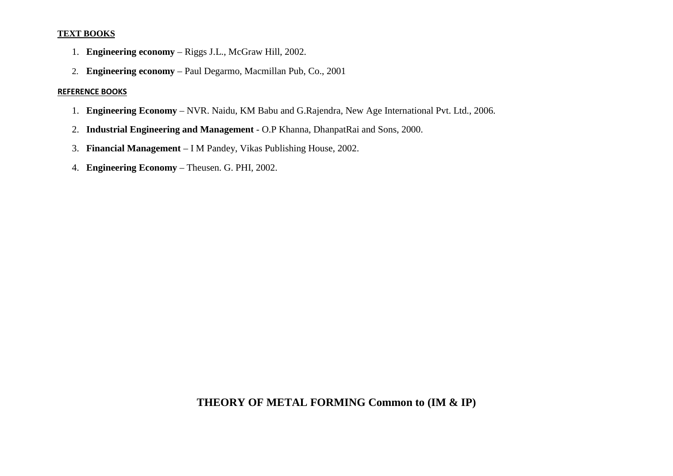#### **TEXT BOOKS**

- 1. **Engineering economy** Riggs J.L., McGraw Hill, 2002.
- 2. **Engineering economy** Paul Degarmo, Macmillan Pub, Co., 2001

#### **REFERENCE BOOKS**

- 1. **Engineering Economy** NVR. Naidu, KM Babu and G.Rajendra, New Age International Pvt. Ltd., 2006.
- 2. **Industrial Engineering and Management** O.P Khanna, DhanpatRai and Sons, 2000.
- 3. **Financial Management** I M Pandey, Vikas Publishing House, 2002.
- 4. **Engineering Economy** Theusen. G. PHI, 2002.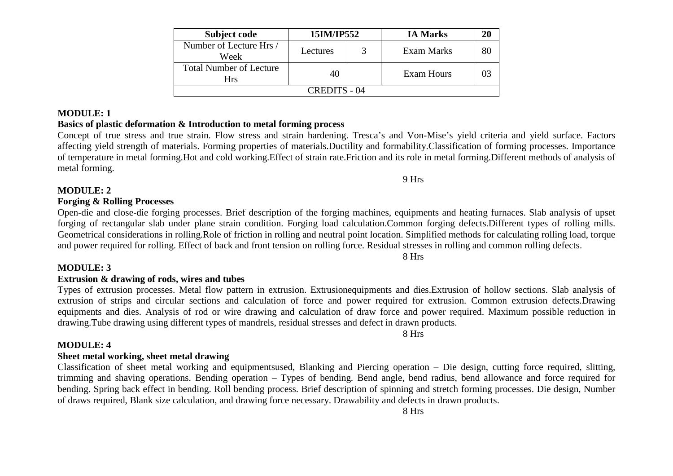| Subject code                          | 15IM/IP552 |  | <b>IA Marks</b> | 20 |  |
|---------------------------------------|------------|--|-----------------|----|--|
| Number of Lecture Hrs /<br>Week       | Lectures   |  | Exam Marks      | 80 |  |
| <b>Total Number of Lecture</b><br>Hrs | 40         |  | Exam Hours      |    |  |
| CREDITS - 04                          |            |  |                 |    |  |

#### **MODULE: 1**

#### **Basics of plastic deformation & Introduction to metal forming process**

8 Hrs

8 Hrs

 Concept of true stress and true strain. Flow stress and strain hardening. Tresca's and Von-Mise's yield criteria and yield surface. Factors affecting yield strength of materials. Forming properties of materials.Ductility and formability.Classification of forming processes. Importance of temperature in metal forming.Hot and cold working.Effect of strain rate.Friction and its role in metal forming.Different methods of analysis of metal forming.

**MODULE: 2** 

#### **Forging & Rolling Processes**

Open-die and close-die forging processes. Brief description of the forging machines, equipments and heating furnaces. Slab analysis of upset forging of rectangular slab under plane strain condition. Forging load calculation.Common forging defects.Different types of rolling mills. Geometrical considerations in rolling.Role of friction in rolling and neutral point location. Simplified methods for calculating rolling load, torque and power required for rolling. Effect of back and front tension on rolling force. Residual stresses in rolling and common rolling defects.

#### **MODULE: 3**

#### **Extrusion & drawing of rods, wires and tubes**

 Types of extrusion processes. Metal flow pattern in extrusion. Extrusionequipments and dies.Extrusion of hollow sections. Slab analysis of extrusion of strips and circular sections and calculation of force and power required for extrusion. Common extrusion defects.Drawing equipments and dies. Analysis of rod or wire drawing and calculation of draw force and power required. Maximum possible reduction in drawing.Tube drawing using different types of mandrels, residual stresses and defect in drawn products.

#### **MODULE: 4**

#### **Sheet metal working, sheet metal drawing**

 Classification of sheet metal working and equipmentsused, Blanking and Piercing operation – Die design, cutting force required, slitting, trimming and shaving operations. Bending operation – Types of bending. Bend angle, bend radius, bend allowance and force required for bending. Spring back effect in bending. Roll bending process. Brief description of spinning and stretch forming processes. Die design, Number of draws required, Blank size calculation, and drawing force necessary. Drawability and defects in drawn products.

9 Hrs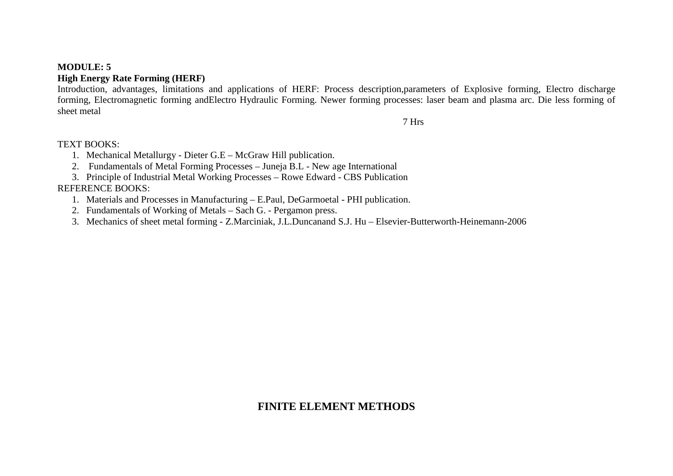#### **MODULE: 5**

### **High Energy Rate Forming (HERF)**

 Introduction, advantages, limitations and applications of HERF: Process description,parameters of Explosive forming, Electro discharge forming, Electromagnetic forming andElectro Hydraulic Forming. Newer forming processes: laser beam and plasma arc. Die less forming of sheet metal

7 Hrs

#### TEXT BOOKS:

- 1. Mechanical Metallurgy Dieter G.E McGraw Hill publication.
- 2. Fundamentals of Metal Forming Processes Juneja B.L New age International
- 3. Principle of Industrial Metal Working Processes Rowe Edward CBS Publication

#### REFERENCE BOOKS:

- 1. Materials and Processes in Manufacturing E.Paul, DeGarmoetal PHI publication.
- 2. Fundamentals of Working of Metals Sach G. Pergamon press.
- 3. Mechanics of sheet metal forming Z.Marciniak, J.L.Duncanand S.J. Hu Elsevier-Butterworth-Heinemann-2006

### **FINITE ELEMENT METHODS**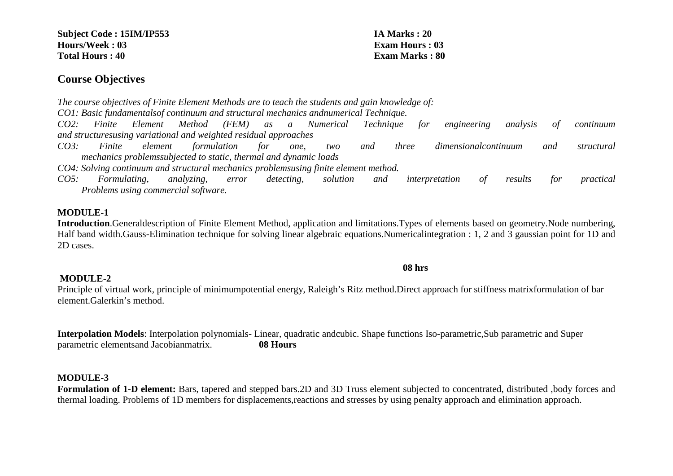**Subject Code : 15IM/IP553 IA Marks : 20 Hours/Week : 03 Exam Hours : 03 Total Hours : 40 Exam Marks : 80** 

### **Course Objectives**

*The course objectives of Finite Element Methods are to teach the students and gain knowledge of:* 

*CO1: Basic fundamentalsof continuum and structural mechanics andnumerical Technique.* 

*CO2: Finite Element Method (FEM) as a Numerical Technique for engineering analysis of continuum and structuresusing variational and weighted residual approaches* 

*CO3: Finite element formulation for one, two and three dimensionalcontinuum and structural mechanics problemssubjected to static, thermal and dynamic loads* 

*CO4: Solving continuum and structural mechanics problemsusing finite element method.* 

*CO5: Formulating, analyzing, error detecting, solution and interpretation of results for practical Problems using commercial software.* 

### **MODULE-1**

 **Introduction**.Generaldescription of Finite Element Method, application and limitations.Types of elements based on geometry.Node numbering, Half band width.Gauss-Elimination technique for solving linear algebraic equations.Numericalintegration : 1, 2 and 3 gaussian point for 1D and 2D cases.

#### **08 hrs**

### **MODULE-2**

 Principle of virtual work, principle of minimumpotential energy, Raleigh's Ritz method.Direct approach for stiffness matrixformulation of bar element.Galerkin's method.

**Interpolation Models**: Interpolation polynomials- Linear, quadratic andcubic. Shape functions Iso-parametric,Sub parametric and Super parametric elementsand Jacobianmatrix. **08 Hours** 

#### **MODULE-3**

 **Formulation of 1-D element:** Bars, tapered and stepped bars.2D and 3D Truss element subjected to concentrated, distributed ,body forces and thermal loading. Problems of 1D members for displacements,reactions and stresses by using penalty approach and elimination approach.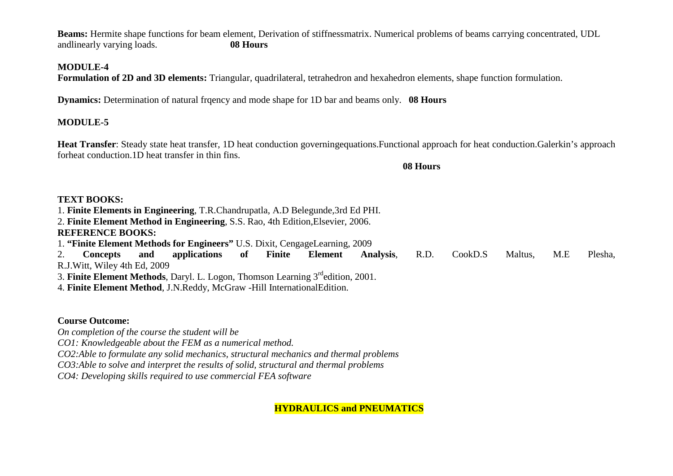**Beams:** Hermite shape functions for beam element, Derivation of stiffnessmatrix. Numerical problems of beams carrying concentrated, UDL andlinearly varying loads. **08 Hours**

#### **MODULE-4**

**Formulation of 2D and 3D elements:** Triangular, quadrilateral, tetrahedron and hexahedron elements, shape function formulation.

**Dynamics:** Determination of natural frgency and mode shape for 1D bar and beams only. **08 Hours** 

### **MODULE-5**

**Heat Transfer**: Steady state heat transfer, 1D heat conduction governingequations.Functional approach for heat conduction.Galerkin's approach forheat conduction.1D heat transfer in thin fins.

**08 Hours**

### **TEXT BOOKS:**

1. **Finite Elements in Engineering**, T.R.Chandrupatla, A.D Belegunde,3rd Ed PHI.

2. **Finite Element Method in Engineering**, S.S. Rao, 4th Edition,Elsevier, 2006. **REFERENCE BOOKS:** 

1. **"Finite Element Methods for Engineers"** U.S. Dixit, CengageLearning, 2009

2. **Concepts and applications of Finite Element Analysis**, R.D. CookD.S Maltus, M.E Plesha, R.J.Witt, Wiley 4th Ed, 2009 3. **Finite Element Methods**, Daryl. L. Logon, Thomson Learning 3rdedition, 2001.

4. **Finite Element Method**, J.N.Reddy, McGraw -Hill InternationalEdition.

### **Course Outcome:**

*On completion of the course the student will be CO1: Knowledgeable about the FEM as a numerical method. CO2:Able to formulate any solid mechanics, structural mechanics and thermal problems CO3:Able to solve and interpret the results of solid, structural and thermal problems CO4: Developing skills required to use commercial FEA software*

**HYDRAULICS and PNEUMATICS**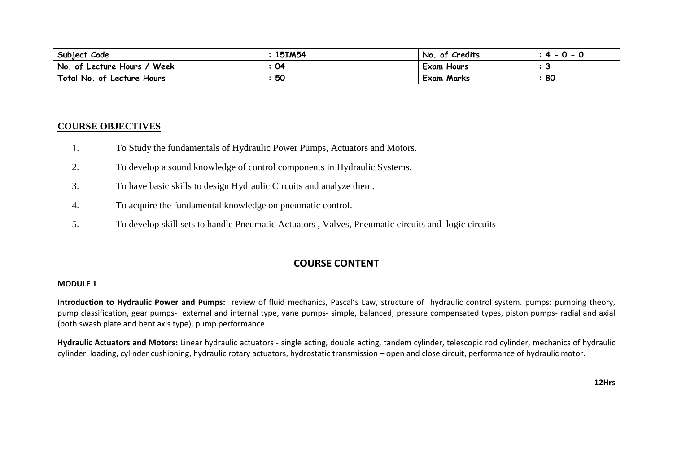| Subject Code                  | 15IM54 | of Credits<br>No. | <u>u</u> |
|-------------------------------|--------|-------------------|----------|
| No. of Lecture Hours.<br>Week | 04     | <b>Exam Hours</b> |          |
| Total No. of Lecture Hours    | 50     | <b>Exam Marks</b> | 80       |

#### **COURSE OBJECTIVES**

- 1.To Study the fundamentals of Hydraulic Power Pumps, Actuators and Motors.
- 2.To develop a sound knowledge of control components in Hydraulic Systems.
- 3.To have basic skills to design Hydraulic Circuits and analyze them.
- 4. To acquire the fundamental knowledge on pneumatic control.
- 5.To develop skill sets to handle Pneumatic Actuators , Valves, Pneumatic circuits and logic circuits

#### **COURSE CONTENT**

### **MODULE <sup>1</sup>**

**Introduction to Hydraulic Power and Pumps:** review of fluid mechanics, Pascal's Law, structure of hydraulic control system. pumps: pumping theory, pump classification, gear pumps- external and internal type, vane pumps- simple, balanced, pressure compensated types, piston pumps- radial and axial (both swash plate and bent axis type), pump performance.

**Hydraulic Actuators and Motors:** Linear hydraulic actuators - single acting, double acting, tandem cylinder, telescopic rod cylinder, mechanics of hydraulic cylinder loading, cylinder cushioning, hydraulic rotary actuators, hydrostatic transmission – open and close circuit, performance of hydraulic motor.

**12Hrs**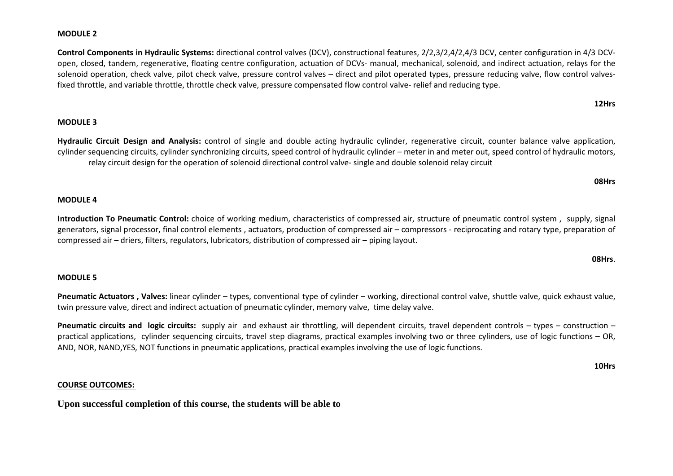### **MODULE <sup>2</sup>**

**Control Components in Hydraulic Systems:** directional control valves (DCV), constructional features, 2/2,3/2,4/2,4/3 DCV, center configuration in 4/3 DCVopen, closed, tandem, regenerative, floating centre configuration, actuation of DCVs- manual, mechanical, solenoid, and indirect actuation, relays for the solenoid operation, check valve, pilot check valve, pressure control valves – direct and pilot operated types, pressure reducing valve, flow control valvesfixed throttle, and variable throttle, throttle check valve, pressure compensated flow control valve- relief and reducing type.

### **MODULE <sup>3</sup>**

**Hydraulic Circuit Design and Analysis:** control of single and double acting hydraulic cylinder, regenerative circuit, counter balance valve application, cylinder sequencing circuits, cylinder synchronizing circuits, speed control of hydraulic cylinder – meter in and meter out, speed control of hydraulic motors,relay circuit design for the operation of solenoid directional control valve- single and double solenoid relay circuit

#### **08Hrs**

### **MODULE <sup>4</sup>**

**Introduction To Pneumatic Control:** choice of working medium, characteristics of compressed air, structure of pneumatic control system , supply, signal generators, signal processor, final control elements , actuators, production of compressed air – compressors - reciprocating and rotary type, preparation of compressed air – driers, filters, regulators, lubricators, distribution of compressed air – piping layout.

#### **08Hrs**.

### **MODULE <sup>5</sup>**

**Pneumatic Actuators , Valves:** linear cylinder – types, conventional type of cylinder – working, directional control valve, shuttle valve, quick exhaust value, twin pressure valve, direct and indirect actuation of pneumatic cylinder, memory valve, time delay valve.

**Pneumatic circuits and logic circuits:** supply air and exhaust air throttling, will dependent circuits, travel dependent controls – types – construction – practical applications, cylinder sequencing circuits, travel step diagrams, practical examples involving two or three cylinders, use of logic functions – OR, AND, NOR, NAND,YES, NOT functions in pneumatic applications, practical examples involving the use of logic functions.

**10Hrs**

#### **COURSE OUTCOMES:**

**Upon successful completion of this course, the students will be able to** 

#### **12Hrs**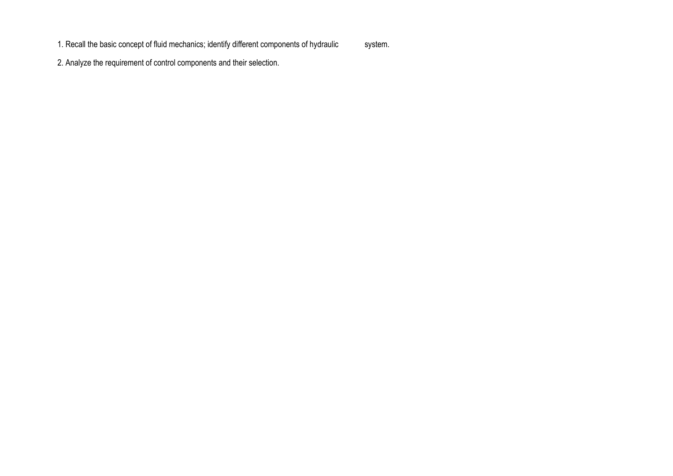1. Recall the basic concept of fluid mechanics; identify different components of hydraulic system.

2. Analyze the requirement of control components and their selection.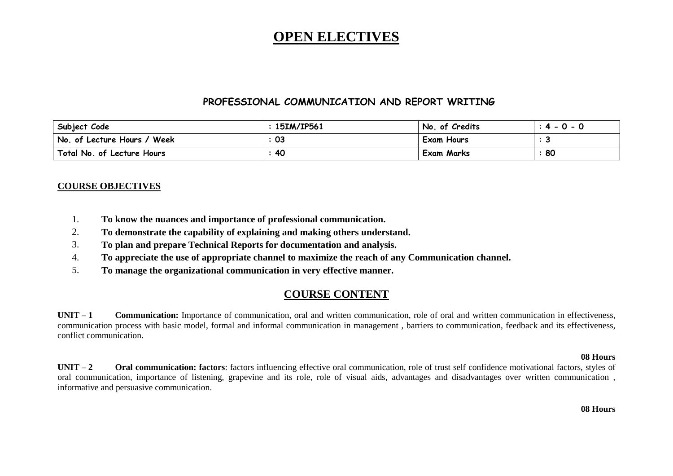## **OPEN ELECTIVES**

#### **PROFESSIONAL COMMUNICATION AND REPORT WRITING**

| Subject Code                | 15IM/IP561 | No. of Credits    | $: 4 - 0 - 0$ |
|-----------------------------|------------|-------------------|---------------|
| No. of Lecture Hours / Week | -03        | <b>Exam Hours</b> |               |
| Total No. of Lecture Hours  | 40         | <b>Exam Marks</b> | 80            |

#### **COURSE OBJECTIVES**

- 1.**To know the nuances and importance of professional communication.**
- 2.**To demonstrate the capability of explaining and making others understand.**
- 3.**To plan and prepare Technical Reports for documentation and analysis.**
- 4.**To appreciate the use of appropriate channel to maximize the reach of any Communication channel.**
- 5.**To manage the organizational communication in very effective manner.**

### **COURSE CONTENT**

**UNIT – <sup>1</sup> Communication:** Importance of communication, oral and written communication, role of oral and written communication in effectiveness, communication process with basic model, formal and informal communication in management , barriers to communication, feedback and its effectiveness, conflict communication.

#### **08 Hours**

 **<sup>2</sup> Oral communication: factors**: factors influencing effective oral communication, role of trust self confidence motivational factors, styles of **UNIT**  $-2$ oral communication, importance of listening, grapevine and its role, role of visual aids, advantages and disadvantages over written communication , informative and persuasive communication.

 **08 Hours**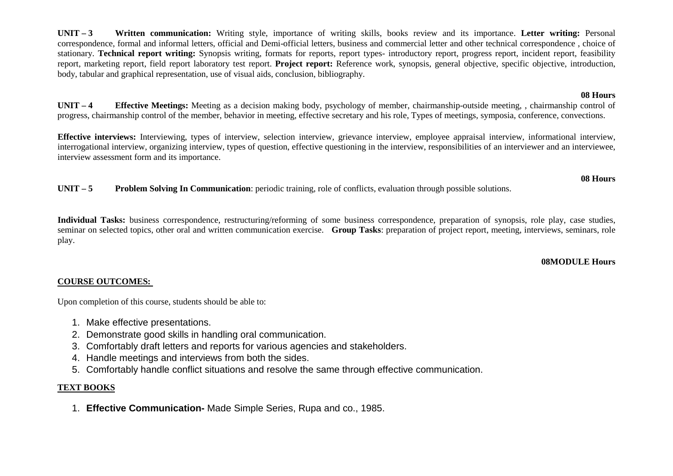**UNIT – <sup>3</sup> Written communication:** Writing style, importance of writing skills, books review and its importance. **Letter writing:** Personal correspondence, formal and informal letters, official and Demi-official letters, business and commercial letter and other technical correspondence , choice of stationary. **Technical report writing:** Synopsis writing, formats for reports, report types- introductory report, progress report, incident report, feasibility report, marketing report, field report laboratory test report. **Project report:** Reference work, synopsis, general objective, specific objective, introduction, body, tabular and graphical representation, use of visual aids, conclusion, bibliography.

### **08 Hours**

 **08 Hours**

 **<sup>4</sup> Effective Meetings:** Meeting as a decision making body, psychology of member, chairmanship-outside meeting, , chairmanship control of **UNIT –**progress, chairmanship control of the member, behavior in meeting, effective secretary and his role, Types of meetings, symposia, conference, convections.

**Effective interviews:** Interviewing, types of interview, selection interview, grievance interview, employee appraisal interview, informational interview, interrogational interview, organizing interview, types of question, effective questioning in the interview, responsibilities of an interviewer and an interviewee, interview assessment form and its importance.

 $UNIT - 5$ **Problem Solving In Communication**: periodic training, role of conflicts, evaluation through possible solutions.

**Individual Tasks:** business correspondence, restructuring/reforming of some business correspondence, preparation of synopsis, role play, case studies, seminar on selected topics, other oral and written communication exercise. **Group Tasks**: preparation of project report, meeting, interviews, seminars, role play.

#### **08MODULE Hours**

#### **COURSE OUTCOMES:**

Upon completion of this course, students should be able to:

- 1. Make effective presentations.
- 2. Demonstrate good skills in handling oral communication.
- 3. Comfortably draft letters and reports for various agencies and stakeholders.
- 4. Handle meetings and interviews from both the sides.
- 5. Comfortably handle conflict situations and resolve the same through effective communication.

#### **TEXT BOOKS**

1. **Effective Communication-** Made Simple Series, Rupa and co., 1985.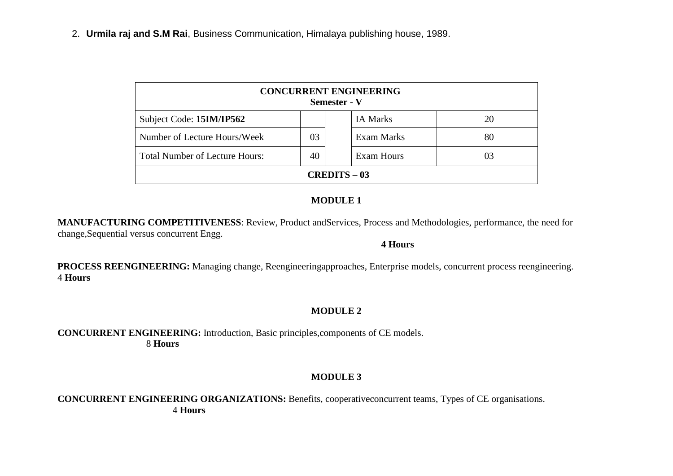| <b>CONCURRENT ENGINEERING</b><br><b>Semester - V</b> |    |                   |    |  |  |  |
|------------------------------------------------------|----|-------------------|----|--|--|--|
| Subject Code: 15IM/IP562                             |    | <b>IA Marks</b>   | 20 |  |  |  |
| Number of Lecture Hours/Week                         | 03 | Exam Marks        | 80 |  |  |  |
| <b>Total Number of Lecture Hours:</b>                | 40 | <b>Exam Hours</b> | 03 |  |  |  |
| <b>CREDITS – 03</b>                                  |    |                   |    |  |  |  |

### **MODULE 1**

**MANUFACTURING COMPETITIVENESS**: Review, Product andServices, Process and Methodologies, performance, the need for change,Sequential versus concurrent Engg.

#### **4 Hours**

**PROCESS REENGINEERING:** Managing change, Reengineeringapproaches, Enterprise models, concurrent process reengineering. 4 **Hours** 

### **MODULE 2**

#### **CONCURRENT ENGINEERING:** Introduction, Basic principles,components of CE models. 8 **Hours**

### **MODULE 3**

**CONCURRENT ENGINEERING ORGANIZATIONS:** Benefits, cooperativeconcurrent teams, Types of CE organisations. 4 **Hours**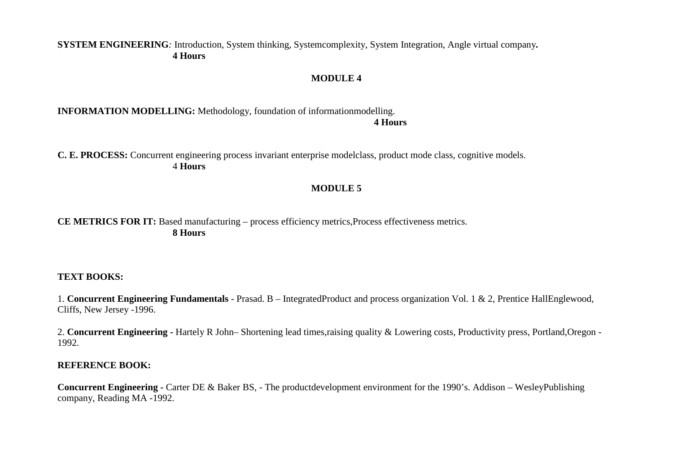### **SYSTEM ENGINEERING***:* Introduction, System thinking, Systemcomplexity, System Integration, Angle virtual company*.* **4 Hours**

#### **MODULE 4**

#### **INFORMATION MODELLING:** Methodology, foundation of informationmodelling. **4 Hours**

**C. E. PROCESS:** Concurrent engineering process invariant enterprise modelclass, product mode class, cognitive models. 4 **Hours** 

#### **MODULE 5**

### **CE METRICS FOR IT:** Based manufacturing – process efficiency metrics, Process effectiveness metrics. **8 Hours**

#### **TEXT BOOKS:**

1. **Concurrent Engineering Fundamentals** - Prasad. B – IntegratedProduct and process organization Vol. 1 & 2, Prentice HallEnglewood, Cliffs, New Jersey -1996.

2. **Concurrent Engineering -** Hartely R John– Shortening lead times,raising quality & Lowering costs, Productivity press, Portland,Oregon -1992.

#### **REFERENCE BOOK:**

**Concurrent Engineering -** Carter DE & Baker BS, - The productdevelopment environment for the 1990's. Addison – WesleyPublishing company, Reading MA -1992.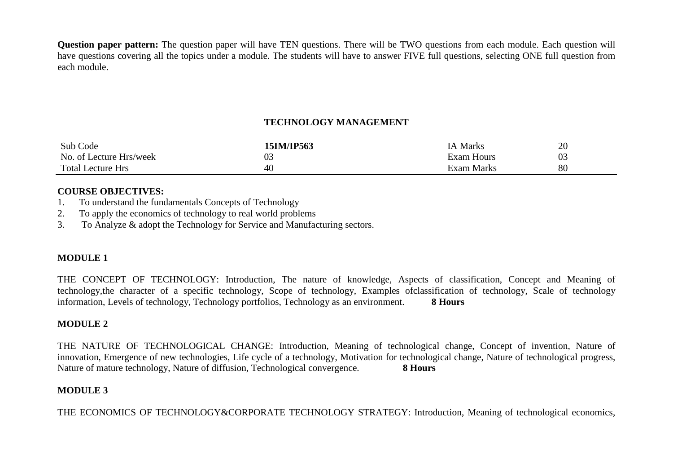**Question paper pattern:** The question paper will have TEN questions. There will be TWO questions from each module. Each question will have questions covering all the topics under a module. The students will have to answer FIVE full questions, selecting ONE full question from each module.

### **TECHNOLOGY MANAGEMENT**

| Sub Code                 | 15IM/IP563 | <b>IA Marks</b>   | 20 |
|--------------------------|------------|-------------------|----|
| No. of Lecture Hrs/week  | 03         | <b>Exam Hours</b> | 03 |
| <b>Total Lecture Hrs</b> | 40         | Exam Marks        | 80 |

#### **COURSE OBJECTIVES:**

- 1. To understand the fundamentals Concepts of Technology
- 2. To apply the economics of technology to real world problems
- 3. To Analyze & adopt the Technology for Service and Manufacturing sectors.

### **MODULE 1**

THE CONCEPT OF TECHNOLOGY: Introduction, The nature of knowledge, Aspects of classification, Concept and Meaning of technology,the character of a specific technology, Scope of technology, Examples ofclassification of technology, Scale of technology information, Levels of technology, Technology portfolios, Technology as an environment. **8 Hours** 

### **MODULE 2**

THE NATURE OF TECHNOLOGICAL CHANGE: Introduction, Meaning of technological change, Concept of invention, Nature of innovation, Emergence of new technologies, Life cycle of a technology, Motivation for technological change, Nature of technological progress, Nature of mature technology, Nature of diffusion, Technological convergence. **8 Hours**

### **MODULE 3**

THE ECONOMICS OF TECHNOLOGY&CORPORATE TECHNOLOGY STRATEGY: Introduction, Meaning of technological economics,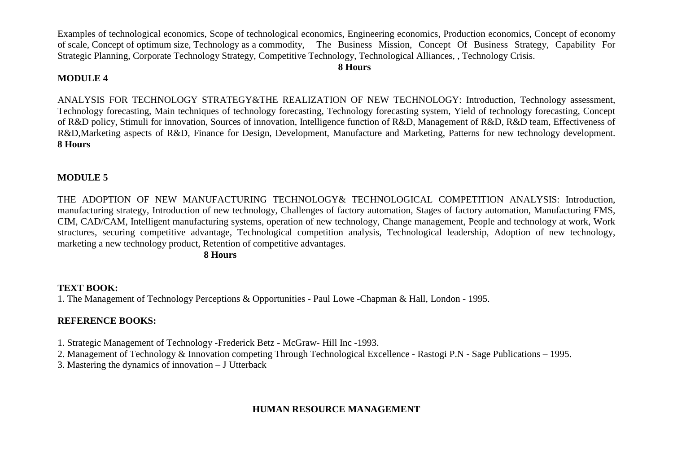Examples of technological economics, Scope of technological economics, Engineering economics, Production economics, Concept of economy of scale, Concept of optimum size, Technology as a commodity, The Business Mission, Concept Of Business Strategy, Capability For Strategic Planning, Corporate Technology Strategy, Competitive Technology, Technological Alliances, , Technology Crisis.

#### **8 Hours**

#### **MODULE 4**

ANALYSIS FOR TECHNOLOGY STRATEGY&THE REALIZATION OF NEW TECHNOLOGY: Introduction, Technology assessment, Technology forecasting, Main techniques of technology forecasting, Technology forecasting system, Yield of technology forecasting, Concept of R&D policy, Stimuli for innovation, Sources of innovation, Intelligence function of R&D, Management of R&D, R&D team, Effectiveness of R&D,Marketing aspects of R&D, Finance for Design, Development, Manufacture and Marketing, Patterns for new technology development. **8 Hours**

### **MODULE 5**

THE ADOPTION OF NEW MANUFACTURING TECHNOLOGY& TECHNOLOGICAL COMPETITION ANALYSIS: Introduction, manufacturing strategy, Introduction of new technology, Challenges of factory automation, Stages of factory automation, Manufacturing FMS, CIM, CAD/CAM, Intelligent manufacturing systems, operation of new technology, Change management, People and technology at work, Work structures, securing competitive advantage, Technological competition analysis, Technological leadership, Adoption of new technology, marketing a new technology product, Retention of competitive advantages.

 **8 Hours**

### **TEXT BOOK:**

1. The Management of Technology Perceptions & Opportunities - Paul Lowe -Chapman & Hall, London - 1995.

### **REFERENCE BOOKS:**

1. Strategic Management of Technology -Frederick Betz - McGraw- Hill Inc -1993.

2. Management of Technology & Innovation competing Through Technological Excellence - Rastogi P.N - Sage Publications – 1995.

3. Mastering the dynamics of innovation – J Utterback

### **HUMAN RESOURCE MANAGEMENT**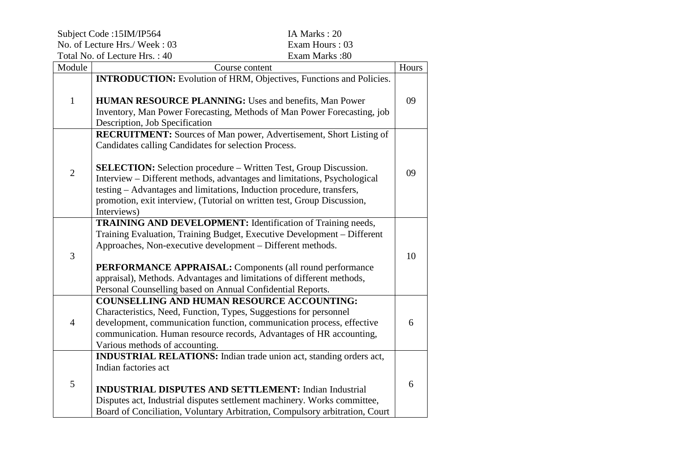Subject Code :15IM/IP564 IA Marks : 20 No. of Lecture Hrs./ Week : 03 Exam Hours : 03 Total No. of Lecture Hrs. : 40

Exam Hours: 03 Exam Marks: 80

| Module         | Course content                                                                                                                                                                                                                                                                                                                                                                                                                                              | Hours |
|----------------|-------------------------------------------------------------------------------------------------------------------------------------------------------------------------------------------------------------------------------------------------------------------------------------------------------------------------------------------------------------------------------------------------------------------------------------------------------------|-------|
| $\mathbf{1}$   | <b>INTRODUCTION:</b> Evolution of HRM, Objectives, Functions and Policies.<br><b>HUMAN RESOURCE PLANNING: Uses and benefits, Man Power</b><br>Inventory, Man Power Forecasting, Methods of Man Power Forecasting, job<br>Description, Job Specification                                                                                                                                                                                                     | 09    |
| $\overline{2}$ | <b>RECRUITMENT:</b> Sources of Man power, Advertisement, Short Listing of<br>Candidates calling Candidates for selection Process.<br><b>SELECTION:</b> Selection procedure - Written Test, Group Discussion.<br>Interview – Different methods, advantages and limitations, Psychological<br>testing - Advantages and limitations, Induction procedure, transfers,<br>promotion, exit interview, (Tutorial on written test, Group Discussion,<br>Interviews) | 09    |
| 3              | <b>TRAINING AND DEVELOPMENT:</b> Identification of Training needs,<br>Training Evaluation, Training Budget, Executive Development - Different<br>Approaches, Non-executive development – Different methods.<br><b>PERFORMANCE APPRAISAL:</b> Components (all round performance<br>appraisal), Methods. Advantages and limitations of different methods,<br>Personal Counselling based on Annual Confidential Reports.                                       | 10    |
| $\overline{4}$ | <b>COUNSELLING AND HUMAN RESOURCE ACCOUNTING:</b><br>Characteristics, Need, Function, Types, Suggestions for personnel<br>development, communication function, communication process, effective<br>communication. Human resource records, Advantages of HR accounting,<br>Various methods of accounting.                                                                                                                                                    | 6     |
| 5              | INDUSTRIAL RELATIONS: Indian trade union act, standing orders act,<br>Indian factories act<br><b>INDUSTRIAL DISPUTES AND SETTLEMENT: Indian Industrial</b><br>Disputes act, Industrial disputes settlement machinery. Works committee,<br>Board of Conciliation, Voluntary Arbitration, Compulsory arbitration, Court                                                                                                                                       | 6     |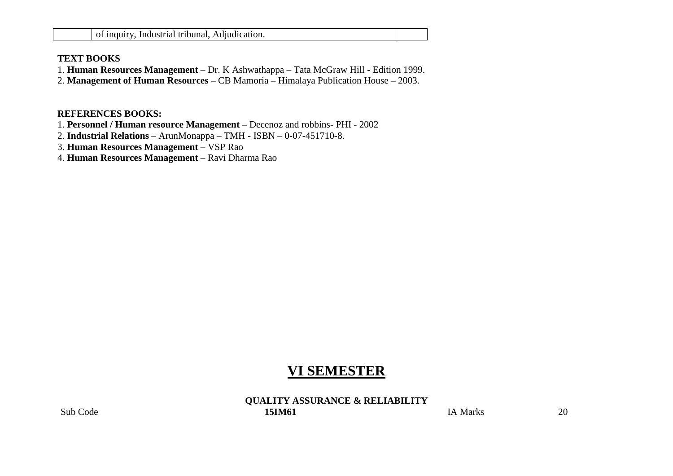#### **TEXT BOOKS**

- 1. **Human Resources Management**  Dr. K Ashwathappa Tata McGraw Hill Edition 1999.
- 2. **Management of Human Resources**  CB Mamoria Himalaya Publication House 2003.

#### **REFERENCES BOOKS:**

- 1. **Personnel / Human resource Management**  Decenoz and robbins- PHI 2002
- 2. **Industrial Relations**  ArunMonappa TMH ISBN 0-07-451710-8.
- 3. **Human Resources Management**  VSP Rao
- 4. **Human Resources Management**  Ravi Dharma Rao

## **VI SEMESTER**

**QUALITY ASSURANCE & RELIABILITY**Sub Code **15IM61**  $I$ A Marks  $20$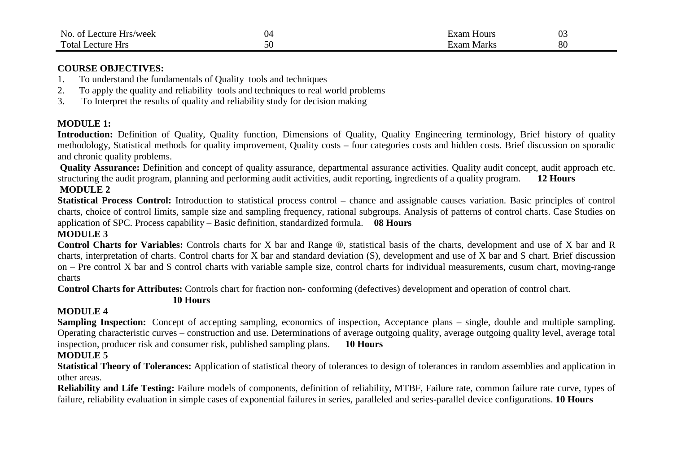| No.<br>nt.<br>$ -$<br>3/week<br>ecture<br><b>HIS</b> |    | txam<br>Hours | ⌒ ⌒ |  |
|------------------------------------------------------|----|---------------|-----|--|
| Total.<br>ecture<br><b>Hrs</b>                       | ◡◡ | txam<br>Marks | 80  |  |

#### **COURSE OBJECTIVES:**

- 1. To understand the fundamentals of Quality tools and techniques
- 2. To apply the quality and reliability tools and techniques to real world problems
- 3. To Interpret the results of quality and reliability study for decision making

#### **MODULE 1:**

Introduction: Definition of Quality, Quality function, Dimensions of Quality, Quality Engineering terminology, Brief history of quality methodology, Statistical methods for quality improvement, Quality costs – four categories costs and hidden costs. Brief discussion on sporadic and chronic quality problems.

  **Quality Assurance:** Definition and concept of quality assurance, departmental assurance activities. Quality audit concept, audit approach etc. structuring the audit program, planning and performing audit activities, audit reporting, ingredients of a quality program. **12 Hours**

#### **MODULE 2**

 **Statistical Process Control:** Introduction to statistical process control – chance and assignable causes variation. Basic principles of control charts, choice of control limits, sample size and sampling frequency, rational subgroups. Analysis of patterns of control charts. Case Studies on application of SPC. Process capability – Basic definition, standardized formula. **08 Hours** 

#### **MODULE 3**

 **Control Charts for Variables:** Controls charts for X bar and Range ®, statistical basis of the charts, development and use of X bar and R charts, interpretation of charts. Control charts for X bar and standard deviation (S), development and use of X bar and S chart. Brief discussion on – Pre control X bar and S control charts with variable sample size, control charts for individual measurements, cusum chart, moving-range charts

**Control Charts for Attributes:** Controls chart for fraction non- conforming (defectives) development and operation of control chart.

#### **10 Hours**

#### **MODULE 4**

 **Sampling Inspection:** Concept of accepting sampling, economics of inspection, Acceptance plans – single, double and multiple sampling. Operating characteristic curves – construction and use. Determinations of average outgoing quality, average outgoing quality level, average total inspection, producer risk and consumer risk, published sampling plans. **10 Hours** 

#### **MODULE 5**

 **Statistical Theory of Tolerances:** Application of statistical theory of tolerances to design of tolerances in random assemblies and application in other areas.

 **Reliability and Life Testing:** Failure models of components, definition of reliability, MTBF, Failure rate, common failure rate curve, types of failure, reliability evaluation in simple cases of exponential failures in series, paralleled and series-parallel device configurations. **10 Hours**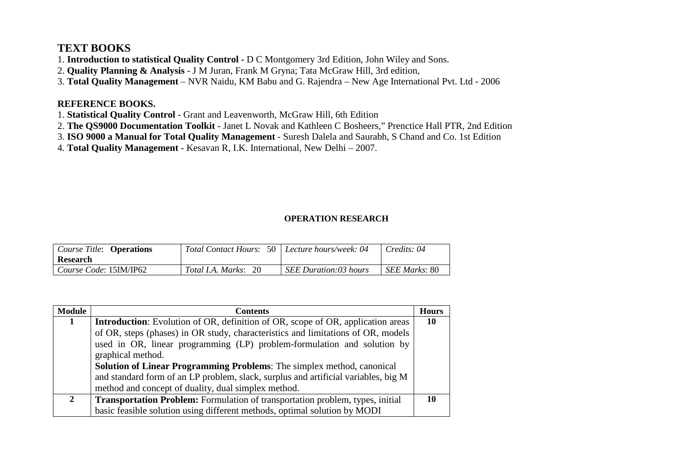## **TEXT BOOKS**

1. **Introduction to statistical Quality Control -** D C Montgomery 3rd Edition, John Wiley and Sons.

- 2. **Quality Planning & Analysis** J M Juran, Frank M Gryna; Tata McGraw Hill, 3rd edition,
- 3. **Total Quality Management**  NVR Naidu, KM Babu and G. Rajendra New Age International Pvt. Ltd 2006

### **REFERENCE BOOKS.**

- 1. **Statistical Quality Control** Grant and Leavenworth, McGraw Hill, 6th Edition
- 2. **The QS9000 Documentation Toolkit** Janet L Novak and Kathleen C Bosheers," Prenctice Hall PTR, 2nd Edition
- 3. **ISO 9000 a Manual for Total Quality Management** Suresh Dalela and Saurabh, S Chand and Co. 1st Edition
- 4. **Total Quality Management**  Kesavan R, I.K. International, New Delhi 2007.

### **OPERATION RESEARCH**

| Course Title: <b>Operations</b><br><b>Research</b> | Total Contact Hours: 50   Lecture hours/week: 04 |                       | Credits: 04           |
|----------------------------------------------------|--------------------------------------------------|-----------------------|-----------------------|
| Course Code: 15IM/IP62                             | <i>Total I.A. Marks</i> : 20                     | SEE Duration:03 hours | <i>SEE Marks</i> : 80 |

| <b>Module</b> | Contents                                                                               | <b>Hours</b> |  |  |  |
|---------------|----------------------------------------------------------------------------------------|--------------|--|--|--|
|               | <b>Introduction:</b> Evolution of OR, definition of OR, scope of OR, application areas | 10           |  |  |  |
|               | of OR, steps (phases) in OR study, characteristics and limitations of OR, models       |              |  |  |  |
|               | used in OR, linear programming (LP) problem-formulation and solution by                |              |  |  |  |
|               | graphical method.                                                                      |              |  |  |  |
|               | <b>Solution of Linear Programming Problems:</b> The simplex method, canonical          |              |  |  |  |
|               | and standard form of an LP problem, slack, surplus and artificial variables, big M     |              |  |  |  |
|               | method and concept of duality, dual simplex method.                                    |              |  |  |  |
| $\mathbf{2}$  | <b>Transportation Problem:</b> Formulation of transportation problem, types, initial   |              |  |  |  |
|               | basic feasible solution using different methods, optimal solution by MODI              |              |  |  |  |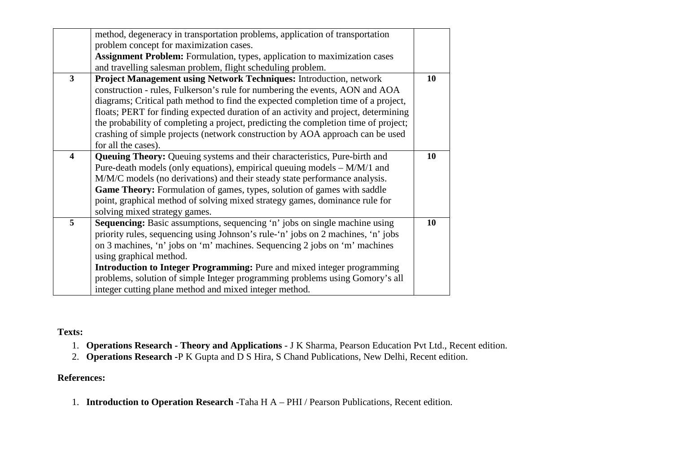| method, degeneracy in transportation problems, application of transportation      |                                                                                                                                                                                                                                                                                                                                                                                                                                                                                                                                                                                                                                                                                                                                         |
|-----------------------------------------------------------------------------------|-----------------------------------------------------------------------------------------------------------------------------------------------------------------------------------------------------------------------------------------------------------------------------------------------------------------------------------------------------------------------------------------------------------------------------------------------------------------------------------------------------------------------------------------------------------------------------------------------------------------------------------------------------------------------------------------------------------------------------------------|
| problem concept for maximization cases.                                           |                                                                                                                                                                                                                                                                                                                                                                                                                                                                                                                                                                                                                                                                                                                                         |
| <b>Assignment Problem:</b> Formulation, types, application to maximization cases  |                                                                                                                                                                                                                                                                                                                                                                                                                                                                                                                                                                                                                                                                                                                                         |
|                                                                                   |                                                                                                                                                                                                                                                                                                                                                                                                                                                                                                                                                                                                                                                                                                                                         |
| Project Management using Network Techniques: Introduction, network                | 10                                                                                                                                                                                                                                                                                                                                                                                                                                                                                                                                                                                                                                                                                                                                      |
|                                                                                   |                                                                                                                                                                                                                                                                                                                                                                                                                                                                                                                                                                                                                                                                                                                                         |
|                                                                                   |                                                                                                                                                                                                                                                                                                                                                                                                                                                                                                                                                                                                                                                                                                                                         |
|                                                                                   |                                                                                                                                                                                                                                                                                                                                                                                                                                                                                                                                                                                                                                                                                                                                         |
|                                                                                   |                                                                                                                                                                                                                                                                                                                                                                                                                                                                                                                                                                                                                                                                                                                                         |
|                                                                                   |                                                                                                                                                                                                                                                                                                                                                                                                                                                                                                                                                                                                                                                                                                                                         |
| for all the cases).                                                               |                                                                                                                                                                                                                                                                                                                                                                                                                                                                                                                                                                                                                                                                                                                                         |
|                                                                                   | 10                                                                                                                                                                                                                                                                                                                                                                                                                                                                                                                                                                                                                                                                                                                                      |
|                                                                                   |                                                                                                                                                                                                                                                                                                                                                                                                                                                                                                                                                                                                                                                                                                                                         |
| M/M/C models (no derivations) and their steady state performance analysis.        |                                                                                                                                                                                                                                                                                                                                                                                                                                                                                                                                                                                                                                                                                                                                         |
| <b>Game Theory:</b> Formulation of games, types, solution of games with saddle    |                                                                                                                                                                                                                                                                                                                                                                                                                                                                                                                                                                                                                                                                                                                                         |
|                                                                                   |                                                                                                                                                                                                                                                                                                                                                                                                                                                                                                                                                                                                                                                                                                                                         |
| solving mixed strategy games.                                                     |                                                                                                                                                                                                                                                                                                                                                                                                                                                                                                                                                                                                                                                                                                                                         |
| <b>Sequencing:</b> Basic assumptions, sequencing 'n' jobs on single machine using | 10                                                                                                                                                                                                                                                                                                                                                                                                                                                                                                                                                                                                                                                                                                                                      |
| priority rules, sequencing using Johnson's rule-'n' jobs on 2 machines, 'n' jobs  |                                                                                                                                                                                                                                                                                                                                                                                                                                                                                                                                                                                                                                                                                                                                         |
| on 3 machines, 'n' jobs on 'm' machines. Sequencing 2 jobs on 'm' machines        |                                                                                                                                                                                                                                                                                                                                                                                                                                                                                                                                                                                                                                                                                                                                         |
| using graphical method.                                                           |                                                                                                                                                                                                                                                                                                                                                                                                                                                                                                                                                                                                                                                                                                                                         |
| <b>Introduction to Integer Programming:</b> Pure and mixed integer programming    |                                                                                                                                                                                                                                                                                                                                                                                                                                                                                                                                                                                                                                                                                                                                         |
| problems, solution of simple Integer programming problems using Gomory's all      |                                                                                                                                                                                                                                                                                                                                                                                                                                                                                                                                                                                                                                                                                                                                         |
| integer cutting plane method and mixed integer method.                            |                                                                                                                                                                                                                                                                                                                                                                                                                                                                                                                                                                                                                                                                                                                                         |
|                                                                                   | and travelling salesman problem, flight scheduling problem.<br>construction - rules, Fulkerson's rule for numbering the events, AON and AOA<br>diagrams; Critical path method to find the expected completion time of a project,<br>floats; PERT for finding expected duration of an activity and project, determining<br>the probability of completing a project, predicting the completion time of project;<br>crashing of simple projects (network construction by AOA approach can be used<br>Queuing Theory: Queuing systems and their characteristics, Pure-birth and<br>Pure-death models (only equations), empirical queuing models $-M/M/1$ and<br>point, graphical method of solving mixed strategy games, dominance rule for |

**Texts:** 

- 1. **Operations Research Theory and Applications** J K Sharma, Pearson Education Pvt Ltd., Recent edition.
- 2. **Operations Research -**P K Gupta and D S Hira, S Chand Publications, New Delhi, Recent edition.

### **References:**

1. **Introduction to Operation Research** -Taha H A – PHI / Pearson Publications, Recent edition.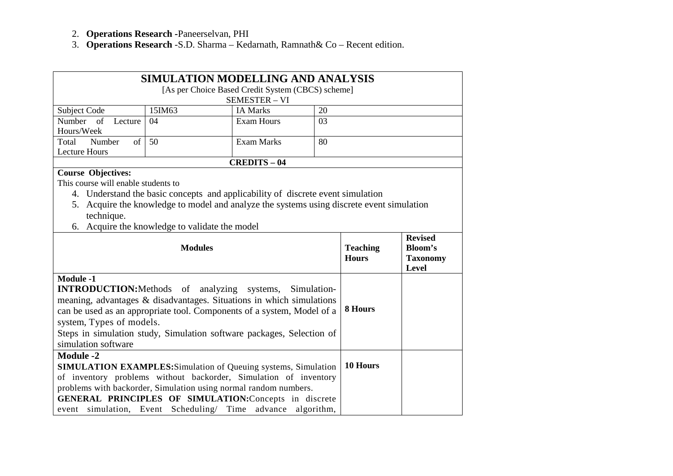- 2. **Operations Research -**Paneerselvan, PHI
- 3. **Operations Research** -S.D. Sharma Kedarnath, Ramnath& Co Recent edition.

|                                                                        | <b>SIMULATION MODELLING AND ANALYSIS</b>                                                  |                                                             |                                  |          |  |  |
|------------------------------------------------------------------------|-------------------------------------------------------------------------------------------|-------------------------------------------------------------|----------------------------------|----------|--|--|
|                                                                        |                                                                                           | [As per Choice Based Credit System (CBCS) scheme]           |                                  |          |  |  |
|                                                                        |                                                                                           | <b>SEMESTER - VI</b>                                        |                                  |          |  |  |
| <b>Subject Code</b>                                                    | 15IM63                                                                                    | <b>IA Marks</b>                                             | 20                               |          |  |  |
| Number<br>of<br>Lecture                                                | 04                                                                                        | <b>Exam Hours</b>                                           | 03                               |          |  |  |
| Hours/Week                                                             |                                                                                           |                                                             |                                  |          |  |  |
| Number<br>Total<br>of                                                  | 50                                                                                        | <b>Exam Marks</b>                                           | 80                               |          |  |  |
| <b>Lecture Hours</b>                                                   |                                                                                           |                                                             |                                  |          |  |  |
|                                                                        |                                                                                           | <b>CREDITS - 04</b>                                         |                                  |          |  |  |
| <b>Course Objectives:</b>                                              |                                                                                           |                                                             |                                  |          |  |  |
| This course will enable students to                                    |                                                                                           |                                                             |                                  |          |  |  |
|                                                                        | 4. Understand the basic concepts and applicability of discrete event simulation           |                                                             |                                  |          |  |  |
|                                                                        | 5. Acquire the knowledge to model and analyze the systems using discrete event simulation |                                                             |                                  |          |  |  |
| technique.                                                             |                                                                                           |                                                             |                                  |          |  |  |
| 6.                                                                     | Acquire the knowledge to validate the model                                               |                                                             |                                  |          |  |  |
|                                                                        |                                                                                           | <b>Teaching</b>                                             | <b>Revised</b><br><b>Bloom's</b> |          |  |  |
|                                                                        |                                                                                           | <b>Hours</b>                                                | <b>Taxonomy</b><br>Level         |          |  |  |
| <b>Module -1</b>                                                       |                                                                                           |                                                             |                                  |          |  |  |
| <b>INTRODUCTION:</b> Methods of analyzing systems,                     |                                                                                           |                                                             | Simulation-                      |          |  |  |
| meaning, advantages & disadvantages. Situations in which simulations   |                                                                                           |                                                             |                                  |          |  |  |
| can be used as an appropriate tool. Components of a system, Model of a |                                                                                           |                                                             |                                  | 8 Hours  |  |  |
| system, Types of models.                                               |                                                                                           |                                                             |                                  |          |  |  |
|                                                                        | Steps in simulation study, Simulation software packages, Selection of                     |                                                             |                                  |          |  |  |
| simulation software                                                    |                                                                                           |                                                             |                                  |          |  |  |
| <b>Module -2</b>                                                       |                                                                                           |                                                             |                                  |          |  |  |
| <b>SIMULATION EXAMPLES:</b> Simulation of Queuing systems, Simulation  |                                                                                           |                                                             |                                  | 10 Hours |  |  |
| of inventory problems without backorder, Simulation of inventory       |                                                                                           |                                                             |                                  |          |  |  |
| problems with backorder, Simulation using normal random numbers.       |                                                                                           |                                                             |                                  |          |  |  |
| GENERAL PRINCIPLES OF SIMULATION: Concepts in discrete                 |                                                                                           |                                                             |                                  |          |  |  |
|                                                                        |                                                                                           | event simulation, Event Scheduling/ Time advance algorithm, |                                  |          |  |  |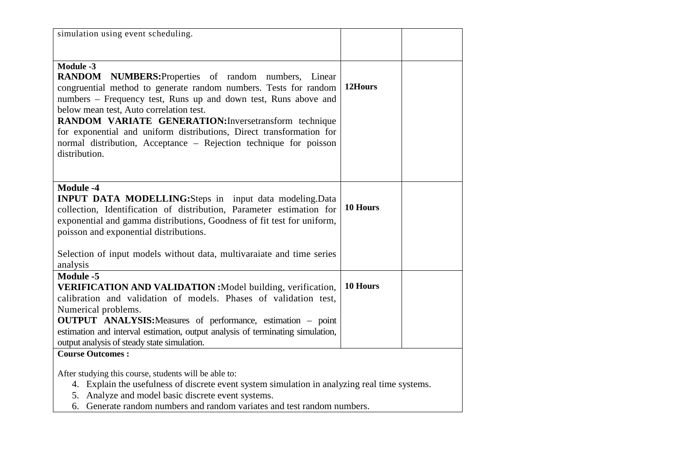| simulation using event scheduling.                                                                                                                                                                                                                                                                                                                                                                                                                        |          |  |
|-----------------------------------------------------------------------------------------------------------------------------------------------------------------------------------------------------------------------------------------------------------------------------------------------------------------------------------------------------------------------------------------------------------------------------------------------------------|----------|--|
| Module -3<br>RANDOM NUMBERS: Properties of random numbers, Linear<br>congruential method to generate random numbers. Tests for random<br>numbers - Frequency test, Runs up and down test, Runs above and<br>below mean test, Auto correlation test.<br>RANDOM VARIATE GENERATION: Inversetransform technique<br>for exponential and uniform distributions, Direct transformation for<br>normal distribution, Acceptance - Rejection technique for poisson | 12Hours  |  |
| distribution.                                                                                                                                                                                                                                                                                                                                                                                                                                             |          |  |
| <b>Module -4</b><br><b>INPUT DATA MODELLING:</b> Steps in input data modeling.Data<br>collection, Identification of distribution, Parameter estimation for<br>exponential and gamma distributions, Goodness of fit test for uniform,<br>poisson and exponential distributions.                                                                                                                                                                            | 10 Hours |  |
| Selection of input models without data, multivaraiate and time series<br>analysis                                                                                                                                                                                                                                                                                                                                                                         |          |  |
| <b>Module -5</b><br>VERIFICATION AND VALIDATION : Model building, verification,<br>calibration and validation of models. Phases of validation test,<br>Numerical problems.<br><b>OUTPUT ANALYSIS:</b> Measures of performance, estimation – point<br>estimation and interval estimation, output analysis of terminating simulation,<br>output analysis of steady state simulation.                                                                        | 10 Hours |  |
| <b>Course Outcomes:</b><br>After studying this course, students will be able to:<br>4. Explain the usefulness of discrete event system simulation in analyzing real time systems.                                                                                                                                                                                                                                                                         |          |  |

- 5. Analyze and model basic discrete event systems.
- 6. Generate random numbers and random variates and test random numbers.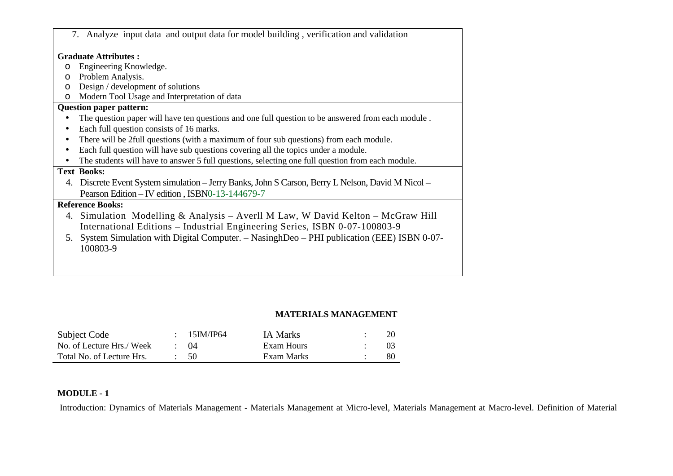|         | 7. Analyze input data and output data for model building, verification and validation             |
|---------|---------------------------------------------------------------------------------------------------|
|         | <b>Graduate Attributes:</b>                                                                       |
| $\circ$ | Engineering Knowledge.                                                                            |
| $\circ$ | Problem Analysis.                                                                                 |
| $\circ$ | Design / development of solutions                                                                 |
| $\circ$ | Modern Tool Usage and Interpretation of data                                                      |
|         | <b>Question paper pattern:</b>                                                                    |
|         | The question paper will have ten questions and one full question to be answered from each module. |
|         | Each full question consists of 16 marks.                                                          |
|         | There will be 2full questions (with a maximum of four sub questions) from each module.            |
|         | Each full question will have sub questions covering all the topics under a module.                |
|         | The students will have to answer 5 full questions, selecting one full question from each module.  |
|         | <b>Text Books:</b>                                                                                |
| 4.      | Discrete Event System simulation – Jerry Banks, John S Carson, Berry L Nelson, David M Nicol –    |
|         | Pearson Edition - IV edition, ISBN0-13-144679-7                                                   |
|         | <b>Reference Books:</b>                                                                           |
|         | 4. Simulation Modelling & Analysis – Averll M Law, W David Kelton – McGraw Hill                   |
|         | International Editions - Industrial Engineering Series, ISBN 0-07-100803-9                        |
| 5.      | System Simulation with Digital Computer. – NasinghDeo – PHI publication (EEE) ISBN 0-07-          |
|         | 100803-9                                                                                          |
|         |                                                                                                   |

#### **MATERIALS MANAGEMENT**

| Subject Code              | 15IM/IP64   | <b>IA Marks</b> |    |
|---------------------------|-------------|-----------------|----|
| No. of Lecture Hrs./ Week | $\cdot$ ()4 | Exam Hours      |    |
| Total No. of Lecture Hrs. | - 50        | Exam Marks      | 80 |

#### **MODULE - 1**

Introduction: Dynamics of Materials Management - Materials Management at Micro-level, Materials Management at Macro-level. Definition of Material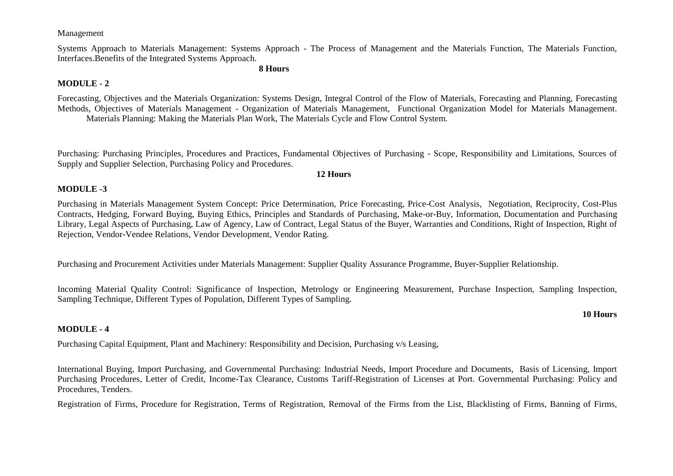#### Management

Systems Approach to Materials Management: Systems Approach - The Process of Management and the Materials Function, The Materials Function, Interfaces.Benefits of the Integrated Systems Approach.

#### **8 Hours**

#### **MODULE - 2**

Forecasting, Objectives and the Materials Organization: Systems Design, Integral Control of the Flow of Materials, Forecasting and Planning, Forecasting Methods, Objectives of Materials Management - Organization of Materials Management, Functional Organization Model for Materials Management.Materials Planning: Making the Materials Plan Work, The Materials Cycle and Flow Control System.

Purchasing: Purchasing Principles, Procedures and Practices, Fundamental Objectives of Purchasing - Scope, Responsibility and Limitations, Sources of Supply and Supplier Selection, Purchasing Policy and Procedures.

#### **12 Hours**

#### **MODULE -3**

Purchasing in Materials Management System Concept: Price Determination, Price Forecasting, Price-Cost Analysis, Negotiation, Reciprocity, Cost-Plus Contracts, Hedging, Forward Buying, Buying Ethics, Principles and Standards of Purchasing, Make-or-Buy, Information, Documentation and Purchasing Library, Legal Aspects of Purchasing, Law of Agency, Law of Contract, Legal Status of the Buyer, Warranties and Conditions, Right of Inspection, Right ofRejection, Vendor-Vendee Relations, Vendor Development, Vendor Rating.

Purchasing and Procurement Activities under Materials Management: Supplier Quality Assurance Programme, Buyer-Supplier Relationship.

Incoming Material Quality Control: Significance of Inspection, Metrology or Engineering Measurement, Purchase Inspection, Sampling Inspection, Sampling Technique, Different Types of Population, Different Types of Sampling.

#### **MODULE - 4**

Purchasing Capital Equipment, Plant and Machinery: Responsibility and Decision, Purchasing v/s Leasing,

International Buying, Import Purchasing, and Governmental Purchasing: Industrial Needs, Import Procedure and Documents, Basis of Licensing, Import Purchasing Procedures, Letter of Credit, Income-Tax Clearance, Customs Tariff-Registration of Licenses at Port. Governmental Purchasing: Policy and Procedures, Tenders.

Registration of Firms, Procedure for Registration, Terms of Registration, Removal of the Firms from the List, Blacklisting of Firms, Banning of Firms,

#### **10 Hours**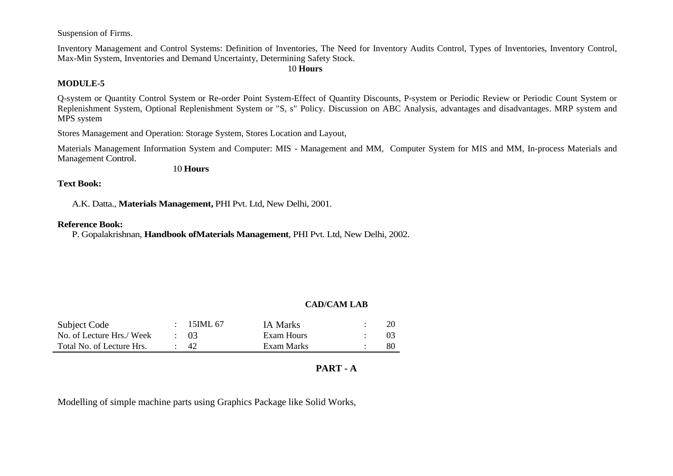Suspension of Firms.

Inventory Management and Control Systems: Definition of Inventories, The Need for Inventory Audits Control, Types of Inventories, Inventory Control, Max-Min System, Inventories and Demand Uncertainty, Determining Safety Stock.

10 **Hours**

#### **MODULE-5**

Q-system or Quantity Control System or Re-order Point System-Effect of Quantity Discounts, P-system or Periodic Review or Periodic Count System or Replenishment System, Optional Replenishment System or "S, s" Policy. Discussion on ABC Analysis, advantages and disadvantages. MRP system and MPS system

Stores Management and Operation: Storage System, Stores Location and Layout,

Materials Management Information System and Computer: MIS - Management and MM, Computer System for MIS and MM, In-process Materials and Management Control.

10 **Hours** 

#### **Text Book:**

A.K. Datta., **Materials Management,** PHI Pvt. Ltd, New Delhi, 2001.

#### **Reference Book:**

P. Gopalakrishnan, **Handbook ofMaterials Management**, PHI Pvt. Ltd, New Delhi, 2002.

#### **CAD/CAM LAB**

| Subject Code              | $\div$ 15 IML 67 | <b>IA Marks</b> | 20 |
|---------------------------|------------------|-----------------|----|
| No. of Lecture Hrs./ Week | $\div$ 03        | Exam Hours      |    |
| Total No. of Lecture Hrs. | -42              | Exam Marks      | 80 |

#### **PART - A**

Modelling of simple machine parts using Graphics Package like Solid Works,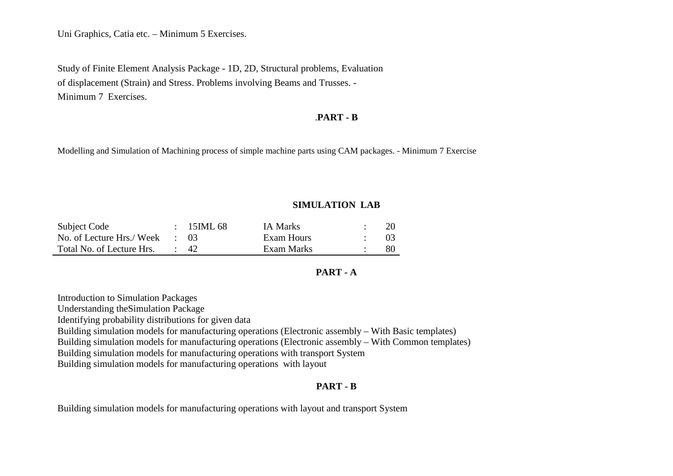Uni Graphics, Catia etc. – Minimum 5 Exercises.

Study of Finite Element Analysis Package - 1D, 2D, Structural problems, Evaluation of displacement (Strain) and Stress. Problems involving Beams and Trusses. - Minimum 7 Exercises.

#### .**PART - B**

Modelling and Simulation of Machining process of simple machine parts using CAM packages. - Minimum 7 Exercise

#### **SIMULATION LAB**

| Subject Code              | $\div$ 15 ML 68 | <b>IA Marks</b> |    |
|---------------------------|-----------------|-----------------|----|
| No. of Lecture Hrs./ Week | $\therefore$ 03 | Exam Hours      |    |
| Total No. of Lecture Hrs. | $\cdot$ 42      | Exam Marks      | 80 |

#### **PART - A**

Introduction to Simulation Packages Understanding theSimulation Package Identifying probability distributions for given data Building simulation models for manufacturing operations (Electronic assembly – With Basic templates) Building simulation models for manufacturing operations (Electronic assembly – With Common templates) Building simulation models for manufacturing operations with transport System Building simulation models for manufacturing operations with layout

#### **PART - B**

Building simulation models for manufacturing operations with layout and transport System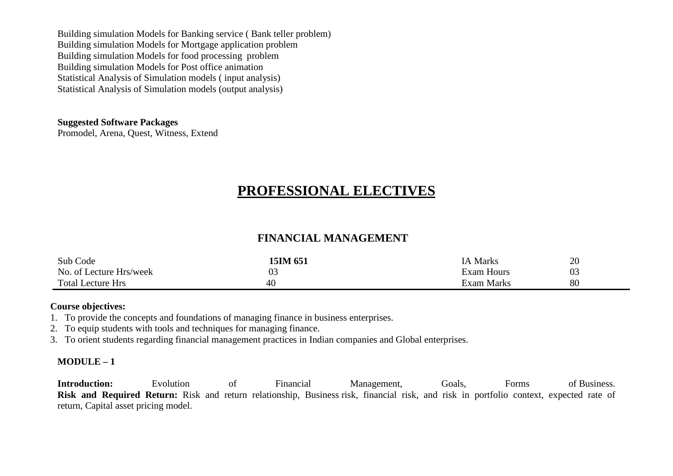Building simulation Models for Banking service ( Bank teller problem) Building simulation Models for Mortgage application problem Building simulation Models for food processing problem Building simulation Models for Post office animation Statistical Analysis of Simulation models ( input analysis) Statistical Analysis of Simulation models (output analysis)

#### **Suggested Software Packages**

Promodel, Arena, Quest, Witness, Extend

# **PROFESSIONAL ELECTIVES**

### **FINANCIAL MANAGEMENT**

| Sub Code                 | 15IM 651       | 1A Marks          | 20       |
|--------------------------|----------------|-------------------|----------|
| No. of Lecture Hrs/week  | 0 <sup>3</sup> | <b>Exam Hours</b> | ∩∩<br>U3 |
| <b>Total Lecture Hrs</b> | 40             | Exam Marks        | 80       |

#### **Course objectives:**

- 1. To provide the concepts and foundations of managing finance in business enterprises.
- 2. To equip students with tools and techniques for managing finance.
- 3. To orient students regarding financial management practices in Indian companies and Global enterprises.

#### **MODULE – 1**

**Introduction:** Evolution of Financial Management, Goals, Forms of Business. **Risk and Required Return:** Risk and return relationship, Business risk, financial risk, and risk in portfolio context, expected rate of return, Capital asset pricing model.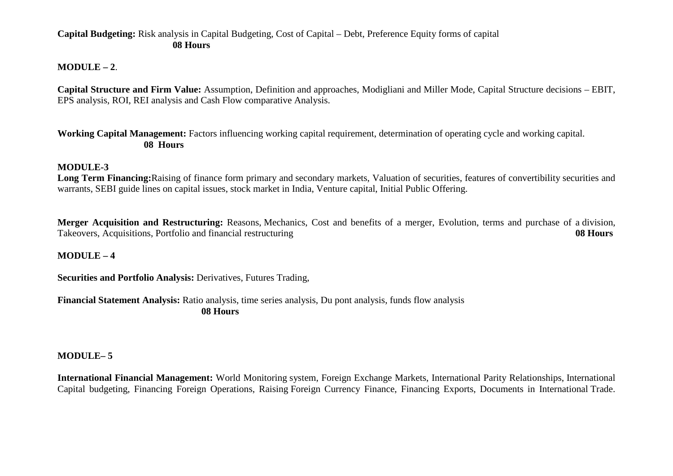#### **Capital Budgeting:** Risk analysis in Capital Budgeting, Cost of Capital – Debt, Preference Equity forms of capital **08 Hours**

#### **MODULE – 2**.

**Capital Structure and Firm Value:** Assumption, Definition and approaches, Modigliani and Miller Mode, Capital Structure decisions – EBIT, EPS analysis, ROI, REI analysis and Cash Flow comparative Analysis.

**Working Capital Management:** Factors influencing working capital requirement, determination of operating cycle and working capital. **08 Hours**

#### **MODULE-3**

 **Long Term Financing:**Raising of finance form primary and secondary markets, Valuation of securities, features of convertibility securities and warrants, SEBI guide lines on capital issues, stock market in India, Venture capital, Initial Public Offering.

**Merger Acquisition and Restructuring:** Reasons, Mechanics, Cost and benefits of a merger, Evolution, terms and purchase of a division, Takeovers, Acquisitions, Portfolio and financial restructuring **08 Hours**

#### **MODULE – 4**

**Securities and Portfolio Analysis:** Derivatives, Futures Trading,

**Financial Statement Analysis:** Ratio analysis, time series analysis, Du pont analysis, funds flow analysis **08 Hours**

#### **MODULE– 5**

**International Financial Management:** World Monitoring system, Foreign Exchange Markets, International Parity Relationships, International Capital budgeting, Financing Foreign Operations, Raising Foreign Currency Finance, Financing Exports, Documents in International Trade.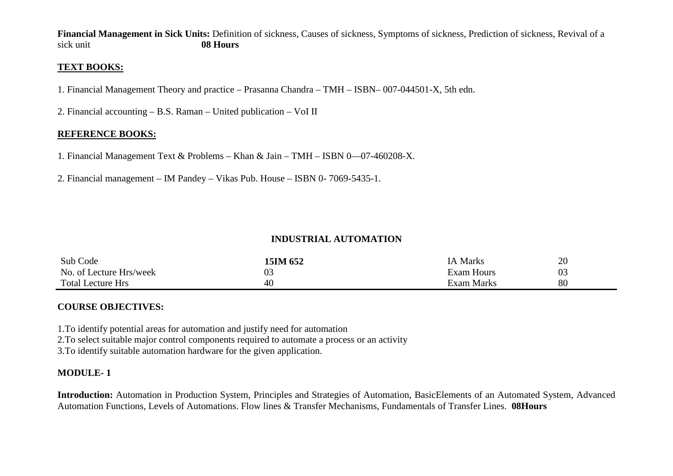**Financial Management in Sick Units:** Definition of sickness, Causes of sickness, Symptoms of sickness, Prediction of sickness, Revival of a sick unit **08 Hours** 

#### **TEXT BOOKS:**

- 1. Financial Management Theory and practice Prasanna Chandra TMH ISBN– 007-044501-X, 5th edn.
- 2. Financial accounting B.S. Raman United publication VoI II

#### **REFERENCE BOOKS:**

- 1. Financial Management Text & Problems Khan & Jain TMH ISBN 0—07-460208-X.
- 2. Financial management IM Pandey Vikas Pub. House ISBN 0- 7069-5435-1.

#### **INDUSTRIAL AUTOMATION**

| Sub Code                 | 15IM 652 | IA Marks          | 20 |
|--------------------------|----------|-------------------|----|
| No. of Lecture Hrs/week  | ∩∩<br>U  | Exam Hours        | 03 |
| <b>Total Lecture Hrs</b> | 40       | <b>Exam Marks</b> | 80 |

#### **COURSE OBJECTIVES:**

1.To identify potential areas for automation and justify need for automation

2.To select suitable major control components required to automate a process or an activity

3.To identify suitable automation hardware for the given application.

#### **MODULE- 1**

**Introduction:** Automation in Production System, Principles and Strategies of Automation, BasicElements of an Automated System, Advanced Automation Functions, Levels of Automations. Flow lines & Transfer Mechanisms, Fundamentals of Transfer Lines. **08Hours**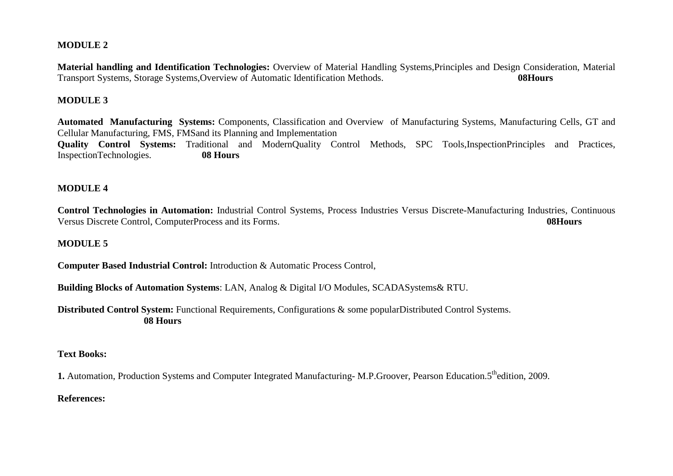#### **MODULE 2**

**Material handling and Identification Technologies:** Overview of Material Handling Systems,Principles and Design Consideration, Material Transport Systems, Storage Systems,Overview of Automatic Identification Methods. **08Hours**

#### **MODULE 3**

**Automated Manufacturing Systems:** Components, Classification and Overview of Manufacturing Systems, Manufacturing Cells, GT and Cellular Manufacturing, FMS, FMSand its Planning and Implementation **Quality Control Systems:** Traditional and ModernQuality Control Methods, SPC Tools,InspectionPrinciples and Practices, InspectionTechnologies. **08 Hours**

#### **MODULE 4**

**Control Technologies in Automation:** Industrial Control Systems, Process Industries Versus Discrete-Manufacturing Industries, Continuous Versus Discrete Control, ComputerProcess and its Forms. **08Hours**

#### **MODULE 5**

**Computer Based Industrial Control:** Introduction & Automatic Process Control,

**Building Blocks of Automation Systems**: LAN, Analog & Digital I/O Modules, SCADASystems& RTU.

**Distributed Control System:** Functional Requirements, Configurations & some popularDistributed Control Systems. **08 Hours**

#### **Text Books:**

**1.** Automation, Production Systems and Computer Integrated Manufacturing- M.P.Groover, Pearson Education.5<sup>th</sup>edition, 2009.

#### **References:**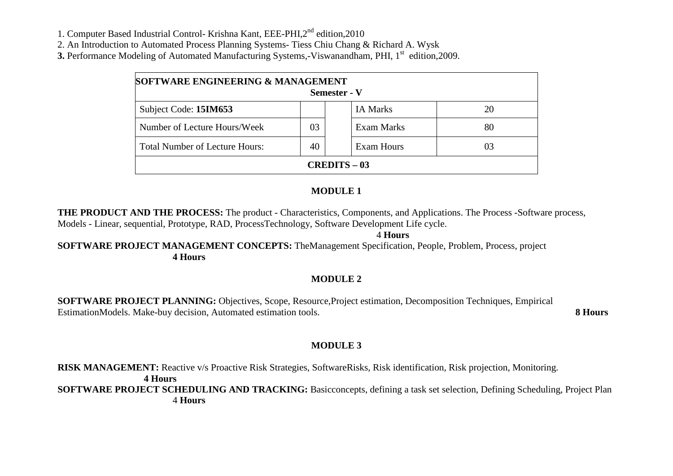1. Computer Based Industrial Control- Krishna Kant, EEE-PHI,2nd edition,2010

2. An Introduction to Automated Process Planning Systems- Tiess Chiu Chang & Richard A. Wysk

**3.** Performance Modeling of Automated Manufacturing Systems,-Viswanandham, PHI, 1<sup>st</sup> edition,2009.

| SOFTWARE ENGINEERING & MANAGEMENT<br><b>Semester - V</b> |    |                 |    |  |  |
|----------------------------------------------------------|----|-----------------|----|--|--|
| Subject Code: 15IM653                                    |    | <b>IA Marks</b> | 20 |  |  |
| Number of Lecture Hours/Week                             | 03 | Exam Marks      | 80 |  |  |
| <b>Total Number of Lecture Hours:</b>                    | 40 | Exam Hours      | 03 |  |  |
| <b>CREDITS – 03</b>                                      |    |                 |    |  |  |

### **MODULE 1**

**THE PRODUCT AND THE PROCESS:** The product - Characteristics, Components, and Applications. The Process -Software process, Models - Linear, sequential, Prototype, RAD, ProcessTechnology, Software Development Life cycle.

4 **Hours** 

 **SOFTWARE PROJECT MANAGEMENT CONCEPTS:** TheManagement Specification, People, Problem, Process, project **4 Hours** 

### **MODULE 2**

**SOFTWARE PROJECT PLANNING:** Objectives, Scope, Resource,Project estimation, Decomposition Techniques, Empirical EstimationModels. Make-buy decision, Automated estimation tools. **8 Hours** 

### **MODULE 3**

**RISK MANAGEMENT:** Reactive v/s Proactive Risk Strategies, SoftwareRisks, Risk identification, Risk projection, Monitoring. **4 Hours SOFTWARE PROJECT SCHEDULING AND TRACKING:** Basicconcepts, defining a task set selection, Defining Scheduling, Project Plan4 **Hours**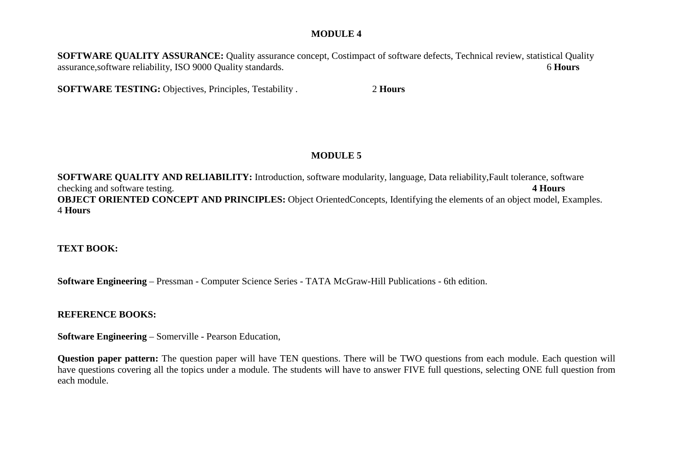#### **MODULE 4**

**SOFTWARE QUALITY ASSURANCE:** Quality assurance concept, Costimpact of software defects, Technical review, statistical Quality assurance,software reliability, ISO 9000 Quality standards. 6 **Hours** 

**SOFTWARE TESTING:** Objectives, Principles, Testability . 2 **Hours** 

### **MODULE 5**

**SOFTWARE QUALITY AND RELIABILITY:** Introduction, software modularity, language, Data reliability,Fault tolerance, software checking and software testing. **4 Hours OBJECT ORIENTED CONCEPT AND PRINCIPLES:** Object OrientedConcepts, Identifying the elements of an object model, Examples.4 **Hours**

### **TEXT BOOK:**

**Software Engineering** – Pressman - Computer Science Series - TATA McGraw-Hill Publications - 6th edition.

#### **REFERENCE BOOKS:**

**Software Engineering** – Somerville - Pearson Education,

**Question paper pattern:** The question paper will have TEN questions. There will be TWO questions from each module. Each question will have questions covering all the topics under a module. The students will have to answer FIVE full questions, selecting ONE full question from each module.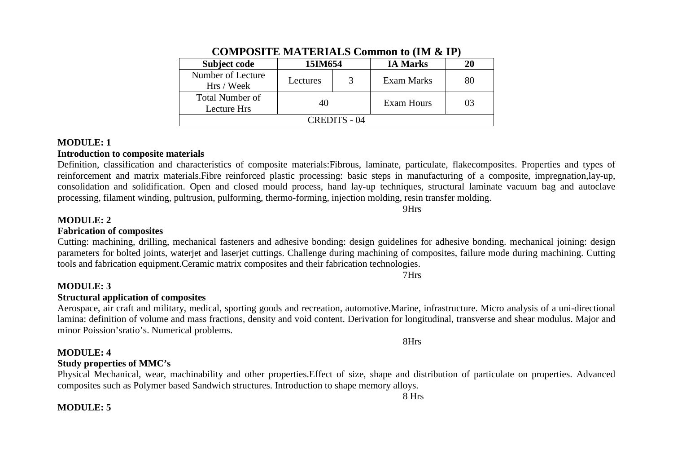| Subject code                          | 15IM654  |  | <b>IA Marks</b> | 20 |
|---------------------------------------|----------|--|-----------------|----|
| Number of Lecture<br>Hrs / Week       | Lectures |  | Exam Marks      | 80 |
| <b>Total Number of</b><br>Lecture Hrs | 40       |  | Exam Hours      | 03 |
| CREDITS - 04                          |          |  |                 |    |

#### **COMPOSITE MATERIALS Common to (IM & IP)**

#### **MODULE: 1**

#### **Introduction to composite materials**

 Definition, classification and characteristics of composite materials:Fibrous, laminate, particulate, flakecomposites. Properties and types of reinforcement and matrix materials.Fibre reinforced plastic processing: basic steps in manufacturing of a composite, impregnation,lay-up, consolidation and solidification. Open and closed mould process, hand lay-up techniques, structural laminate vacuum bag and autoclave processing, filament winding, pultrusion, pulforming, thermo-forming, injection molding, resin transfer molding.

9Hrs

7Hrs

#### **MODULE: 2**

### **Fabrication of composites**

### Cutting: machining, drilling, mechanical fasteners and adhesive bonding: design guidelines for adhesive bonding. mechanical joining: design parameters for bolted joints, waterjet and laserjet cuttings. Challenge during machining of composites, failure mode during machining. Cutting tools and fabrication equipment.Ceramic matrix composites and their fabrication technologies.

#### **MODULE: 3**

#### **Structural application of composites**

 Aerospace, air craft and military, medical, sporting goods and recreation, automotive.Marine, infrastructure. Micro analysis of a uni-directional lamina: definition of volume and mass fractions, density and void content. Derivation for longitudinal, transverse and shear modulus. Major and minor Poission'sratio's. Numerical problems.

#### **MODULE: 4**

#### **Study properties of MMC's**

 Physical Mechanical, wear, machinability and other properties.Effect of size, shape and distribution of particulate on properties. Advanced composites such as Polymer based Sandwich structures. Introduction to shape memory alloys.

8 Hrs

8Hrs

#### **MODULE: 5**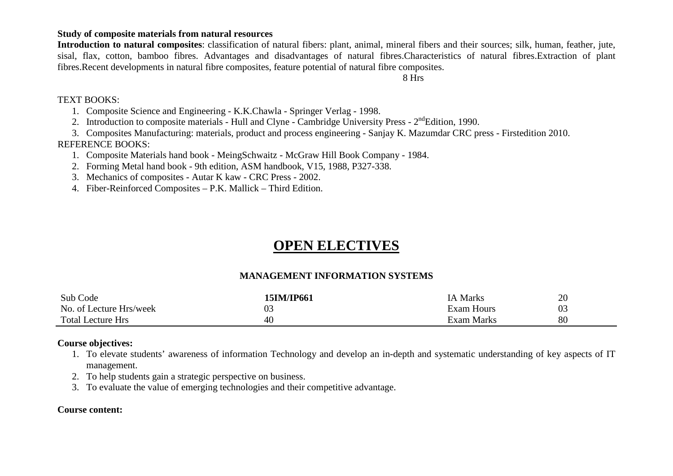#### **Study of composite materials from natural resources**

 **Introduction to natural composites**: classification of natural fibers: plant, animal, mineral fibers and their sources; silk, human, feather, jute, sisal, flax, cotton, bamboo fibres. Advantages and disadvantages of natural fibres.Characteristics of natural fibres.Extraction of plant fibres.Recent developments in natural fibre composites, feature potential of natural fibre composites.

8 Hrs

#### TEXT BOOKS:

1. Composite Science and Engineering - K.K.Chawla - Springer Verlag - 1998.

2. Introduction to composite materials - Hull and Clyne - Cambridge University Press -  $2<sup>nd</sup>$ Edition, 1990.

3. Composites Manufacturing: materials, product and process engineering - Sanjay K. Mazumdar CRC press - Firstedition 2010.

#### REFERENCE BOOKS:

1. Composite Materials hand book - MeingSchwaitz - McGraw Hill Book Company - 1984.

- 2. Forming Metal hand book 9th edition, ASM handbook, V15, 1988, P327-338.
- 3. Mechanics of composites Autar K kaw CRC Press 2002.

4. Fiber-Reinforced Composites – P.K. Mallick – Third Edition.

## **OPEN ELECTIVES**

#### **MANAGEMENT INFORMATION SYSTEMS**

| Sub Code                 | 15IM/IP661 | <b>IA Marks</b>   | 20 |
|--------------------------|------------|-------------------|----|
| No. of Lecture Hrs/week  | ∩∩<br>U3   | <b>Exam Hours</b> | 03 |
| <b>Total Lecture Hrs</b> | 40         | Exam Marks        | 80 |

#### **Course objectives:**

- 1. To elevate students' awareness of information Technology and develop an in-depth and systematic understanding of key aspects of IT management.
- 2. To help students gain a strategic perspective on business.
- 3. To evaluate the value of emerging technologies and their competitive advantage.

#### **Course content:**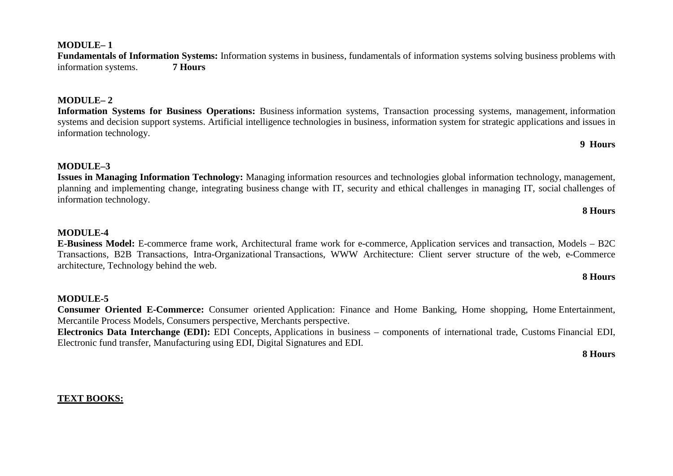#### **MODULE– 1**

 **Fundamentals of Information Systems:** Information systems in business, fundamentals of information systems solving business problems with information systems. **7 Hours**

#### **MODULE– 2**

**Information Systems for Business Operations:** Business information systems, Transaction processing systems, management, information systems and decision support systems. Artificial intelligence technologies in business, information system for strategic applications and issues in information technology.

#### **9 Hours**

#### **MODULE–3**

 **Issues in Managing Information Technology:** Managing information resources and technologies global information technology, management, planning and implementing change, integrating business change with IT, security and ethical challenges in managing IT, social challenges of information technology.

#### **8 Hours**

#### **MODULE-4**

 **E-Business Model:** E-commerce frame work, Architectural frame work for e-commerce, Application services and transaction, Models – B2C Transactions, B2B Transactions, Intra-Organizational Transactions, WWW Architecture: Client server structure of the web, e-Commerce architecture, Technology behind the web.

#### **8 Hours**

#### **MODULE-5**

 **Consumer Oriented E-Commerce:** Consumer oriented Application: Finance and Home Banking, Home shopping, Home Entertainment, Mercantile Process Models, Consumers perspective, Merchants perspective.

 **Electronics Data Interchange (EDI):** EDI Concepts, Applications in business – components of international trade, Customs Financial EDI, Electronic fund transfer, Manufacturing using EDI, Digital Signatures and EDI.

#### **8 Hours**

#### **TEXT BOOKS:**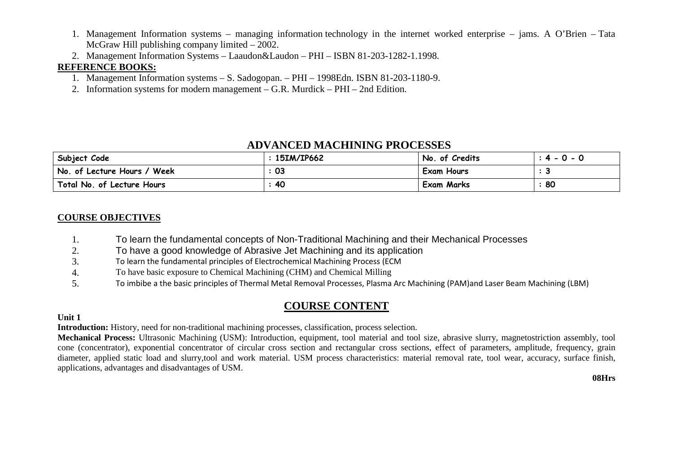- 1. Management Information systems managing information technology in the internet worked enterprise jams. A O'Brien Tata McGraw Hill publishing company limited – 2002.
- 2. Management Information Systems Laaudon&Laudon PHI ISBN 81-203-1282-1.1998.

### **REFERENCE BOOKS:**

- 1. Management Information systems S. Sadogopan. PHI 1998Edn. ISBN 81-203-1180-9.
- 2. Information systems for modern management G.R. Murdick PHI 2nd Edition.

## **ADVANCED MACHINING PROCESSES**

| Subject Code                | 15IM/IP662 | No. of Credits    | $: 4 - 0 - 0$ |
|-----------------------------|------------|-------------------|---------------|
| No. of Lecture Hours / Week | 03         | <b>Exam Hours</b> |               |
| Total No. of Lecture Hours  | 40         | <b>Exam Marks</b> | 80            |

#### **COURSE OBJECTIVES**

- 1.To learn the fundamental concepts of Non-Traditional Machining and their Mechanical Processes
- 2.To have a good knowledge of Abrasive Jet Machining and its application
- 3.To learn the fundamental principles of Electrochemical Machining Process (ECM
- 4.To have basic exposure to Chemical Machining (CHM) and Chemical Milling
- 5.To imbibe a the basic principles of Thermal Metal Removal Processes, Plasma Arc Machining (PAM)and Laser Beam Machining (LBM)

## **COURSE CONTENT**

#### **Unit 1**

**Introduction:** History, need for non-traditional machining processes, classification, process selection.

 **Mechanical Process:** Ultrasonic Machining (USM): Introduction, equipment, tool material and tool size, abrasive slurry, magnetostriction assembly, tool cone (concentrator), exponential concentrator of circular cross section and rectangular cross sections, effect of parameters, amplitude, frequency, grain diameter, applied static load and slurry,tool and work material. USM process characteristics: material removal rate, tool wear, accuracy, surface finish,applications, advantages and disadvantages of USM.

**08Hrs**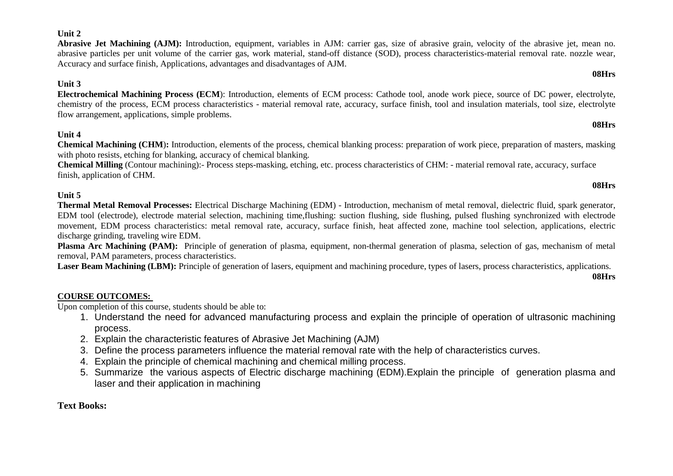#### **Unit 2**

 **Abrasive Jet Machining (AJM):** Introduction, equipment, variables in AJM: carrier gas, size of abrasive grain, velocity of the abrasive jet, mean no. abrasive particles per unit volume of the carrier gas, work material, stand-off distance (SOD), process characteristics-material removal rate. nozzle wear, Accuracy and surface finish, Applications, advantages and disadvantages of AJM.

#### **Unit 3**

 **Electrochemical Machining Process (ECM**): Introduction, elements of ECM process: Cathode tool, anode work piece, source of DC power, electrolyte, chemistry of the process, ECM process characteristics - material removal rate, accuracy, surface finish, tool and insulation materials, tool size, electrolyte flow arrangement, applications, simple problems.

#### **Unit 4**

 **Chemical Machining (CHM**)**:** Introduction, elements of the process, chemical blanking process: preparation of work piece, preparation of masters, masking with photo resists, etching for blanking, accuracy of chemical blanking.

 **Chemical Milling** (Contour machining):- Process steps-masking, etching, etc. process characteristics of CHM: - material removal rate, accuracy, surface finish, application of CHM.

#### **Unit 5**

 **Thermal Metal Removal Processes:** Electrical Discharge Machining (EDM) - Introduction, mechanism of metal removal, dielectric fluid, spark generator, EDM tool (electrode), electrode material selection, machining time,flushing: suction flushing, side flushing, pulsed flushing synchronized with electrode movement, EDM process characteristics: metal removal rate, accuracy, surface finish, heat affected zone, machine tool selection, applications, electric discharge grinding, traveling wire EDM.

 **Plasma Arc Machining (PAM):** Principle of generation of plasma, equipment, non-thermal generation of plasma, selection of gas, mechanism of metal removal, PAM parameters, process characteristics.

Laser Beam Machining (LBM): Principle of generation of lasers, equipment and machining procedure, types of lasers, process characteristics, applications.

#### **COURSE OUTCOMES:**

Upon completion of this course, students should be able to:

- 1. Understand the need for advanced manufacturing process and explain the principle of operation of ultrasonic machining process.
- 2. Explain the characteristic features of Abrasive Jet Machining (AJM)
- 3. Define the process parameters influence the material removal rate with the help of characteristics curves.
- 4. Explain the principle of chemical machining and chemical milling process.
- 5. Summarize the various aspects of Electric discharge machining (EDM).Explain the principle of generation plasma and laser and their application in machining

#### **Text Books:**

# **08Hrs**

**08Hrs**

## **08Hrs**

**08Hrs**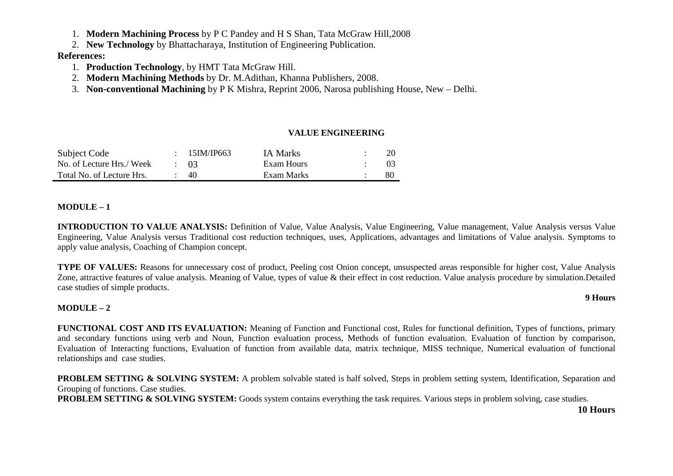1. **Modern Machining Process** by P C Pandey and H S Shan, Tata McGraw Hill,2008

2. **New Technology** by Bhattacharaya, Institution of Engineering Publication.

#### **References:**

- 1. **Production Technology**, by HMT Tata McGraw Hill.
- 2. **Modern Machining Methods** by Dr. M.Adithan, Khanna Publishers, 2008.
- 3. **Non-conventional Machining** by P K Mishra, Reprint 2006, Narosa publishing House, New Delhi.

#### **VALUE ENGINEERING**

| Subject Code              | $\div$ 15 IM/IP663 | <b>IA Marks</b> |    |
|---------------------------|--------------------|-----------------|----|
| No. of Lecture Hrs./ Week | $\div$ 03          | Exam Hours      |    |
| Total No. of Lecture Hrs. | -40                | Exam Marks      | 80 |

#### **MODULE – 1**

**INTRODUCTION TO VALUE ANALYSIS:** Definition of Value, Value Analysis, Value Engineering, Value management, Value Analysis versus Value Engineering, Value Analysis versus Traditional cost reduction techniques, uses, Applications, advantages and limitations of Value analysis. Symptoms to apply value analysis, Coaching of Champion concept.

**TYPE OF VALUES:** Reasons for unnecessary cost of product, Peeling cost Onion concept, unsuspected areas responsible for higher cost, Value Analysis Zone, attractive features of value analysis. Meaning of Value, types of value & their effect in cost reduction. Value analysis procedure by simulation.Detailed case studies of simple products.

#### **MODULE – 2**

**FUNCTIONAL COST AND ITS EVALUATION:** Meaning of Function and Functional cost, Rules for functional definition, Types of functions, primary and secondary functions using verb and Noun, Function evaluation process, Methods of function evaluation. Evaluation of function by comparison, Evaluation of Interacting functions, Evaluation of function from available data, matrix technique, MISS technique, Numerical evaluation of functional relationships and case studies.

**PROBLEM SETTING & SOLVING SYSTEM:** A problem solvable stated is half solved, Steps in problem setting system, Identification, Separation and Grouping of functions. Case studies.

**PROBLEM SETTING & SOLVING SYSTEM:** Goods system contains everything the task requires. Various steps in problem solving, case studies.

**10 Hours** 

**9 Hours**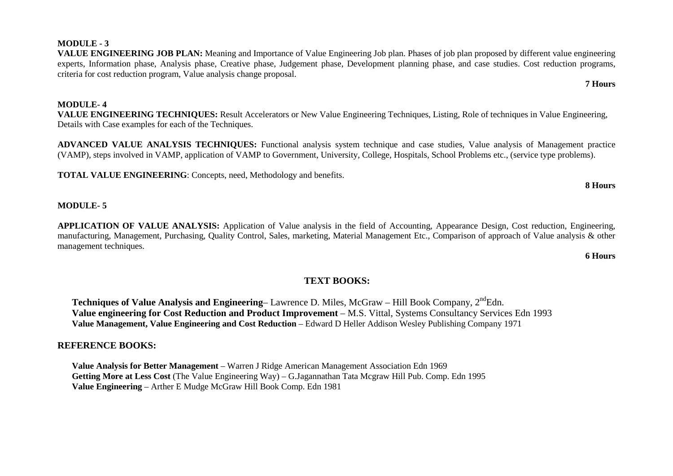#### **MODULE- 4**

 **VALUE ENGINEERING TECHNIQUES:** Result Accelerators or New Value Engineering Techniques, Listing, Role of techniques in Value Engineering, Details with Case examples for each of the Techniques.

 **VALUE ENGINEERING JOB PLAN:** Meaning and Importance of Value Engineering Job plan. Phases of job plan proposed by different value engineering experts, Information phase, Analysis phase, Creative phase, Judgement phase, Development planning phase, and case studies. Cost reduction programs,

**ADVANCED VALUE ANALYSIS TECHNIQUES:** Functional analysis system technique and case studies, Value analysis of Management practice (VAMP), steps involved in VAMP, application of VAMP to Government, University, College, Hospitals, School Problems etc., (service type problems).

**TOTAL VALUE ENGINEERING**: Concepts, need, Methodology and benefits.

criteria for cost reduction program, Value analysis change proposal.

#### **MODULE- 5**

**APPLICATION OF VALUE ANALYSIS:** Application of Value analysis in the field of Accounting, Appearance Design, Cost reduction, Engineering, manufacturing, Management, Purchasing, Quality Control, Sales, marketing, Material Management Etc., Comparison of approach of Value analysis & other management techniques.

**6 Hours**

#### **TEXT BOOKS:**

**Techniques of Value Analysis and Engineering–** Lawrence D. Miles, McGraw – Hill Book Company, 2<sup>nd</sup>Edn. **Value engineering for Cost Reduction and Product Improvement** – M.S. Vittal, Systems Consultancy Services Edn 1993 **Value Management, Value Engineering and Cost Reduction** – Edward D Heller Addison Wesley Publishing Company 1971

#### **REFERENCE BOOKS:**

**Value Analysis for Better Management** – Warren J Ridge American Management Association Edn 1969 **Getting More at Less Cost** (The Value Engineering Way) – G.Jagannathan Tata Mcgraw Hill Pub. Comp. Edn 1995 **Value Engineering** – Arther E Mudge McGraw Hill Book Comp. Edn 1981

**MODULE - 3** 

**7 Hours** 

### **8 Hours**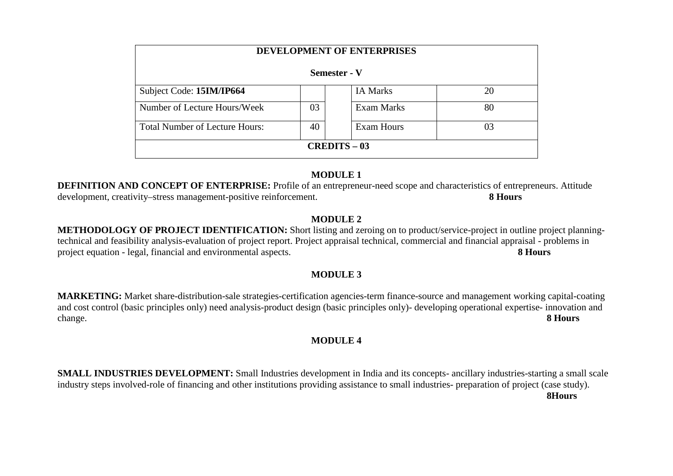| <b>DEVELOPMENT OF ENTERPRISES</b>     |    |                   |    |  |  |  |
|---------------------------------------|----|-------------------|----|--|--|--|
| Semester - V                          |    |                   |    |  |  |  |
| Subject Code: 15IM/IP664              |    | <b>IA Marks</b>   | 20 |  |  |  |
| Number of Lecture Hours/Week          | 03 | Exam Marks        | 80 |  |  |  |
| <b>Total Number of Lecture Hours:</b> | 40 | <b>Exam Hours</b> | 03 |  |  |  |
| <b>CREDITS – 03</b>                   |    |                   |    |  |  |  |

#### **MODULE 1**

 **DEFINITION AND CONCEPT OF ENTERPRISE:** Profile of an entrepreneur-need scope and characteristics of entrepreneurs. Attitude development, creativity–stress management-positive reinforcement. **8 Hours** 

#### **MODULE 2**

 **METHODOLOGY OF PROJECT IDENTIFICATION:** Short listing and zeroing on to product/service-project in outline project planningtechnical and feasibility analysis-evaluation of project report. Project appraisal technical, commercial and financial appraisal - problems in project equation - legal, financial and environmental aspects. **8 Hours** 

#### **MODULE 3**

**MARKETING:** Market share-distribution-sale strategies-certification agencies-term finance-source and management working capital-coating and cost control (basic principles only) need analysis-product design (basic principles only)- developing operational expertise- innovation and change. **8 Hours** 

### **MODULE 4**

**SMALL INDUSTRIES DEVELOPMENT:** Small Industries development in India and its concepts- ancillary industries-starting a small scale industry steps involved-role of financing and other institutions providing assistance to small industries- preparation of project (case study). **8Hours**